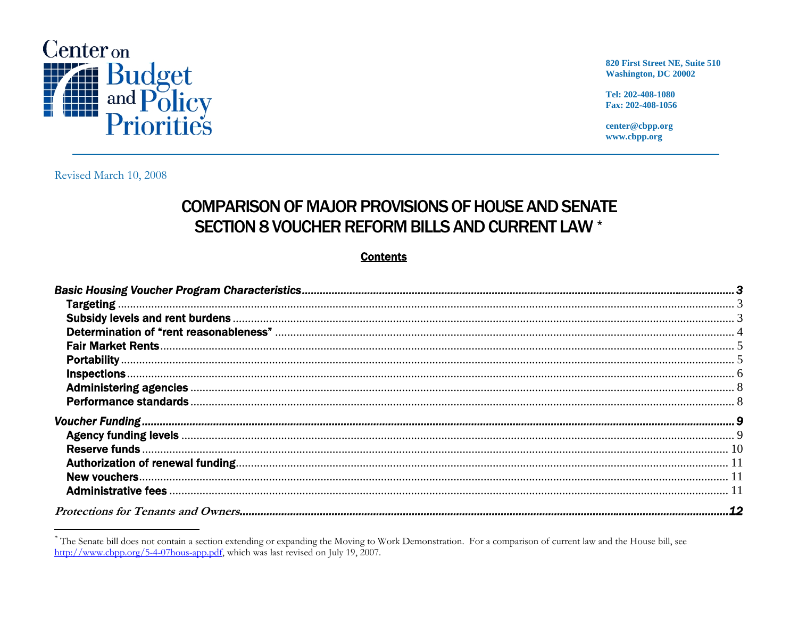

820 First Street NE, Suite 510 **Washington, DC 20002** 

Tel: 202-408-1080 Fax: 202-408-1056

center@cbpp.org www.cbpp.org

Revised March 10, 2008

## **COMPARISON OF MAJOR PROVISIONS OF HOUSE AND SENATE** SECTION 8 VOUCHER REFORM BILLS AND CURRENT LAW \*

## **Contents**

| Administering agencies <b>Executive Construction</b> of the actual construction of the construction of the construction of the construction of the construction of the construction of the construction of the construction of the |  |
|------------------------------------------------------------------------------------------------------------------------------------------------------------------------------------------------------------------------------------|--|
|                                                                                                                                                                                                                                    |  |
|                                                                                                                                                                                                                                    |  |
|                                                                                                                                                                                                                                    |  |
|                                                                                                                                                                                                                                    |  |
|                                                                                                                                                                                                                                    |  |
|                                                                                                                                                                                                                                    |  |
|                                                                                                                                                                                                                                    |  |
|                                                                                                                                                                                                                                    |  |

<span id="page-0-0"></span><sup>\*</sup> The Senate bill does not contain a section extending or expanding the Moving to Work Demonstration. For a comparison of current law and the House bill, see http://www.cbpp.org/5-4-07hous-app.pdf, which was last revised on July 19, 2007.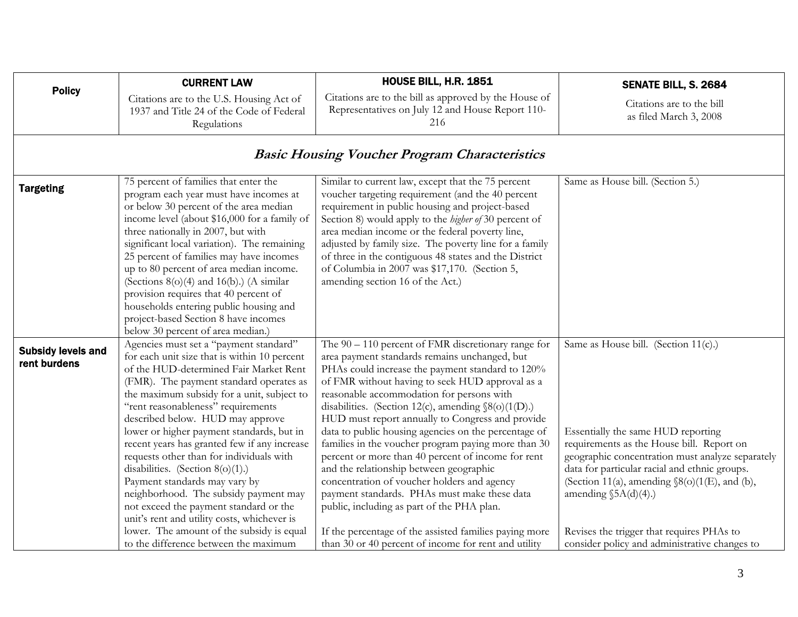<span id="page-2-0"></span>

| <b>Policy</b>                             | <b>CURRENT LAW</b>                                                                                                                                                                                                                                                                                                                                                                                                                                                                                                                                                                                                                                                                                                                           | HOUSE BILL, H.R. 1851                                                                                                                                                                                                                                                                                                                                                                                                                                                                                                                                                                                                                                                                                                                                                                                                                                    | SENATE BILL, S. 2684                                                                                                                                                                                                                                                                                                                                                                                              |
|-------------------------------------------|----------------------------------------------------------------------------------------------------------------------------------------------------------------------------------------------------------------------------------------------------------------------------------------------------------------------------------------------------------------------------------------------------------------------------------------------------------------------------------------------------------------------------------------------------------------------------------------------------------------------------------------------------------------------------------------------------------------------------------------------|----------------------------------------------------------------------------------------------------------------------------------------------------------------------------------------------------------------------------------------------------------------------------------------------------------------------------------------------------------------------------------------------------------------------------------------------------------------------------------------------------------------------------------------------------------------------------------------------------------------------------------------------------------------------------------------------------------------------------------------------------------------------------------------------------------------------------------------------------------|-------------------------------------------------------------------------------------------------------------------------------------------------------------------------------------------------------------------------------------------------------------------------------------------------------------------------------------------------------------------------------------------------------------------|
|                                           | Citations are to the U.S. Housing Act of<br>1937 and Title 24 of the Code of Federal<br>Regulations                                                                                                                                                                                                                                                                                                                                                                                                                                                                                                                                                                                                                                          | Citations are to the bill as approved by the House of<br>Representatives on July 12 and House Report 110-<br>216                                                                                                                                                                                                                                                                                                                                                                                                                                                                                                                                                                                                                                                                                                                                         | Citations are to the bill<br>as filed March 3, 2008                                                                                                                                                                                                                                                                                                                                                               |
|                                           |                                                                                                                                                                                                                                                                                                                                                                                                                                                                                                                                                                                                                                                                                                                                              | <b>Basic Housing Voucher Program Characteristics</b>                                                                                                                                                                                                                                                                                                                                                                                                                                                                                                                                                                                                                                                                                                                                                                                                     |                                                                                                                                                                                                                                                                                                                                                                                                                   |
| <b>Targeting</b>                          | 75 percent of families that enter the<br>program each year must have incomes at<br>or below 30 percent of the area median<br>income level (about \$16,000 for a family of<br>three nationally in 2007, but with<br>significant local variation). The remaining<br>25 percent of families may have incomes<br>up to 80 percent of area median income.<br>(Sections $8(0)(4)$ and $16(b)$ .) (A similar<br>provision requires that 40 percent of<br>households entering public housing and<br>project-based Section 8 have incomes<br>below 30 percent of area median.)                                                                                                                                                                        | Similar to current law, except that the 75 percent<br>voucher targeting requirement (and the 40 percent<br>requirement in public housing and project-based<br>Section 8) would apply to the <i>higher of</i> 30 percent of<br>area median income or the federal poverty line,<br>adjusted by family size. The poverty line for a family<br>of three in the contiguous 48 states and the District<br>of Columbia in 2007 was \$17,170. (Section 5,<br>amending section 16 of the Act.)                                                                                                                                                                                                                                                                                                                                                                    | Same as House bill. (Section 5.)                                                                                                                                                                                                                                                                                                                                                                                  |
| <b>Subsidy levels and</b><br>rent burdens | Agencies must set a "payment standard"<br>for each unit size that is within 10 percent<br>of the HUD-determined Fair Market Rent<br>(FMR). The payment standard operates as<br>the maximum subsidy for a unit, subject to<br>"rent reasonableness" requirements<br>described below. HUD may approve<br>lower or higher payment standards, but in<br>recent years has granted few if any increase<br>requests other than for individuals with<br>disabilities. (Section $8(0)(1)$ .)<br>Payment standards may vary by<br>neighborhood. The subsidy payment may<br>not exceed the payment standard or the<br>unit's rent and utility costs, whichever is<br>lower. The amount of the subsidy is equal<br>to the difference between the maximum | The $90 - 110$ percent of FMR discretionary range for<br>area payment standards remains unchanged, but<br>PHAs could increase the payment standard to 120%<br>of FMR without having to seek HUD approval as a<br>reasonable accommodation for persons with<br>disabilities. (Section 12(c), amending $\S(0)(1(D))$ .)<br>HUD must report annually to Congress and provide<br>data to public housing agencies on the percentage of<br>families in the voucher program paying more than 30<br>percent or more than 40 percent of income for rent<br>and the relationship between geographic<br>concentration of voucher holders and agency<br>payment standards. PHAs must make these data<br>public, including as part of the PHA plan.<br>If the percentage of the assisted families paying more<br>than 30 or 40 percent of income for rent and utility | Same as House bill. (Section 11(c).)<br>Essentially the same HUD reporting<br>requirements as the House bill. Report on<br>geographic concentration must analyze separately<br>data for particular racial and ethnic groups.<br>(Section 11(a), amending $\mathcal{S}(o)(1(E))$ , and (b),<br>amending $$5A(d)(4).$<br>Revises the trigger that requires PHAs to<br>consider policy and administrative changes to |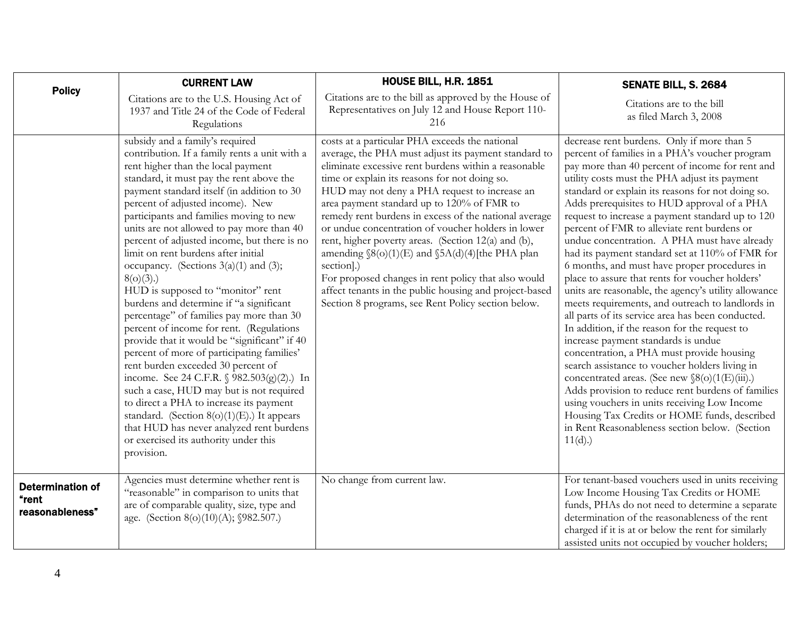<span id="page-3-0"></span>

| <b>Policy</b>                                       | <b>CURRENT LAW</b>                                                                                                                                                                                                                                                                                                                                                                                                                                                                                                                                                                                                                                                                                                                                                                                                                                                                                                                                                                                                                                                                                 | HOUSE BILL, H.R. 1851                                                                                                                                                                                                                                                                                                                                                                                                                                                                                                                                                                                                                                                                                                               | SENATE BILL, S. 2684                                                                                                                                                                                                                                                                                                                                                                                                                                                                                                                                                                                                                                                                                                                                                                                                                                                                                                                                                                                                                                                                                                                                                                                                                     |
|-----------------------------------------------------|----------------------------------------------------------------------------------------------------------------------------------------------------------------------------------------------------------------------------------------------------------------------------------------------------------------------------------------------------------------------------------------------------------------------------------------------------------------------------------------------------------------------------------------------------------------------------------------------------------------------------------------------------------------------------------------------------------------------------------------------------------------------------------------------------------------------------------------------------------------------------------------------------------------------------------------------------------------------------------------------------------------------------------------------------------------------------------------------------|-------------------------------------------------------------------------------------------------------------------------------------------------------------------------------------------------------------------------------------------------------------------------------------------------------------------------------------------------------------------------------------------------------------------------------------------------------------------------------------------------------------------------------------------------------------------------------------------------------------------------------------------------------------------------------------------------------------------------------------|------------------------------------------------------------------------------------------------------------------------------------------------------------------------------------------------------------------------------------------------------------------------------------------------------------------------------------------------------------------------------------------------------------------------------------------------------------------------------------------------------------------------------------------------------------------------------------------------------------------------------------------------------------------------------------------------------------------------------------------------------------------------------------------------------------------------------------------------------------------------------------------------------------------------------------------------------------------------------------------------------------------------------------------------------------------------------------------------------------------------------------------------------------------------------------------------------------------------------------------|
|                                                     | Citations are to the U.S. Housing Act of<br>1937 and Title 24 of the Code of Federal<br>Regulations                                                                                                                                                                                                                                                                                                                                                                                                                                                                                                                                                                                                                                                                                                                                                                                                                                                                                                                                                                                                | Citations are to the bill as approved by the House of<br>Representatives on July 12 and House Report 110-<br>216                                                                                                                                                                                                                                                                                                                                                                                                                                                                                                                                                                                                                    | Citations are to the bill<br>as filed March 3, 2008                                                                                                                                                                                                                                                                                                                                                                                                                                                                                                                                                                                                                                                                                                                                                                                                                                                                                                                                                                                                                                                                                                                                                                                      |
|                                                     | subsidy and a family's required<br>contribution. If a family rents a unit with a<br>rent higher than the local payment<br>standard, it must pay the rent above the<br>payment standard itself (in addition to 30<br>percent of adjusted income). New<br>participants and families moving to new<br>units are not allowed to pay more than 40<br>percent of adjusted income, but there is no<br>limit on rent burdens after initial<br>occupancy. (Sections $3(a)(1)$ and (3);<br>$8(o)(3)$ .)<br>HUD is supposed to "monitor" rent<br>burdens and determine if "a significant<br>percentage" of families pay more than 30<br>percent of income for rent. (Regulations<br>provide that it would be "significant" if 40<br>percent of more of participating families'<br>rent burden exceeded 30 percent of<br>income. See 24 C.F.R. § 982.503(g)(2).) In<br>such a case, HUD may but is not required<br>to direct a PHA to increase its payment<br>standard. (Section $8(o)(1)(E)$ .) It appears<br>that HUD has never analyzed rent burdens<br>or exercised its authority under this<br>provision. | costs at a particular PHA exceeds the national<br>average, the PHA must adjust its payment standard to<br>eliminate excessive rent burdens within a reasonable<br>time or explain its reasons for not doing so.<br>HUD may not deny a PHA request to increase an<br>area payment standard up to 120% of FMR to<br>remedy rent burdens in excess of the national average<br>or undue concentration of voucher holders in lower<br>rent, higher poverty areas. (Section 12(a) and (b),<br>amending $\S(0)(1)(E)$ and $\S 5A(d)(4)$ [the PHA plan<br>section].)<br>For proposed changes in rent policy that also would<br>affect tenants in the public housing and project-based<br>Section 8 programs, see Rent Policy section below. | decrease rent burdens. Only if more than 5<br>percent of families in a PHA's voucher program<br>pay more than 40 percent of income for rent and<br>utility costs must the PHA adjust its payment<br>standard or explain its reasons for not doing so.<br>Adds prerequisites to HUD approval of a PHA<br>request to increase a payment standard up to 120<br>percent of FMR to alleviate rent burdens or<br>undue concentration. A PHA must have already<br>had its payment standard set at 110% of FMR for<br>6 months, and must have proper procedures in<br>place to assure that rents for voucher holders'<br>units are reasonable, the agency's utility allowance<br>meets requirements, and outreach to landlords in<br>all parts of its service area has been conducted.<br>In addition, if the reason for the request to<br>increase payment standards is undue<br>concentration, a PHA must provide housing<br>search assistance to voucher holders living in<br>concentrated areas. (See new §8(o)(1(E)(iii).)<br>Adds provision to reduce rent burdens of families<br>using vouchers in units receiving Low Income<br>Housing Tax Credits or HOME funds, described<br>in Rent Reasonableness section below. (Section<br>11(d). |
| <b>Determination of</b><br>"rent<br>reasonableness" | Agencies must determine whether rent is<br>"reasonable" in comparison to units that<br>are of comparable quality, size, type and<br>age. (Section 8(o)(10)(A); §982.507.)                                                                                                                                                                                                                                                                                                                                                                                                                                                                                                                                                                                                                                                                                                                                                                                                                                                                                                                          | No change from current law.                                                                                                                                                                                                                                                                                                                                                                                                                                                                                                                                                                                                                                                                                                         | For tenant-based vouchers used in units receiving<br>Low Income Housing Tax Credits or HOME<br>funds, PHAs do not need to determine a separate<br>determination of the reasonableness of the rent<br>charged if it is at or below the rent for similarly<br>assisted units not occupied by voucher holders;                                                                                                                                                                                                                                                                                                                                                                                                                                                                                                                                                                                                                                                                                                                                                                                                                                                                                                                              |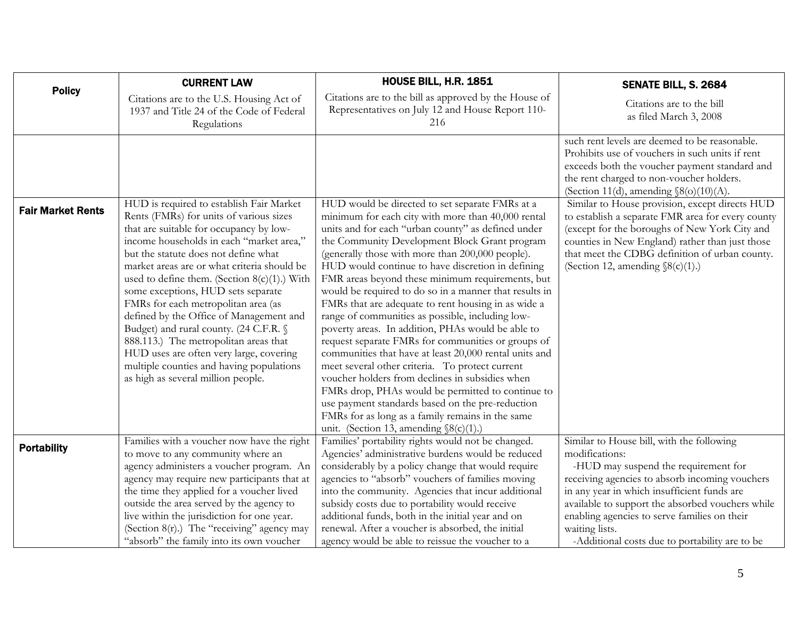<span id="page-4-0"></span>

| <b>Policy</b>            | <b>CURRENT LAW</b>                                                                                                                                                                                                                                                                                                                                                                                                                                                                                                                                                                                                                                           | <b>HOUSE BILL, H.R. 1851</b>                                                                                                                                                                                                                                                                                                                                                                                                                                                                                                                                                                                                                                                                                                                                                                                                                                                                                                                                                                                                         | SENATE BILL, S. 2684                                                                                                                                                                                                                                                                                     |
|--------------------------|--------------------------------------------------------------------------------------------------------------------------------------------------------------------------------------------------------------------------------------------------------------------------------------------------------------------------------------------------------------------------------------------------------------------------------------------------------------------------------------------------------------------------------------------------------------------------------------------------------------------------------------------------------------|--------------------------------------------------------------------------------------------------------------------------------------------------------------------------------------------------------------------------------------------------------------------------------------------------------------------------------------------------------------------------------------------------------------------------------------------------------------------------------------------------------------------------------------------------------------------------------------------------------------------------------------------------------------------------------------------------------------------------------------------------------------------------------------------------------------------------------------------------------------------------------------------------------------------------------------------------------------------------------------------------------------------------------------|----------------------------------------------------------------------------------------------------------------------------------------------------------------------------------------------------------------------------------------------------------------------------------------------------------|
|                          | Citations are to the U.S. Housing Act of<br>1937 and Title 24 of the Code of Federal<br>Regulations                                                                                                                                                                                                                                                                                                                                                                                                                                                                                                                                                          | Citations are to the bill as approved by the House of<br>Representatives on July 12 and House Report 110-<br>216                                                                                                                                                                                                                                                                                                                                                                                                                                                                                                                                                                                                                                                                                                                                                                                                                                                                                                                     | Citations are to the bill<br>as filed March 3, 2008                                                                                                                                                                                                                                                      |
|                          |                                                                                                                                                                                                                                                                                                                                                                                                                                                                                                                                                                                                                                                              |                                                                                                                                                                                                                                                                                                                                                                                                                                                                                                                                                                                                                                                                                                                                                                                                                                                                                                                                                                                                                                      | such rent levels are deemed to be reasonable.<br>Prohibits use of vouchers in such units if rent<br>exceeds both the voucher payment standard and<br>the rent charged to non-voucher holders.<br>(Section 11(d), amending $\S(6)(10)(A)$ .                                                               |
| <b>Fair Market Rents</b> | HUD is required to establish Fair Market<br>Rents (FMRs) for units of various sizes<br>that are suitable for occupancy by low-<br>income households in each "market area,"<br>but the statute does not define what<br>market areas are or what criteria should be<br>used to define them. (Section $8(c)(1)$ .) With<br>some exceptions, HUD sets separate<br>FMRs for each metropolitan area (as<br>defined by the Office of Management and<br>Budget) and rural county. (24 C.F.R. §<br>888.113.) The metropolitan areas that<br>HUD uses are often very large, covering<br>multiple counties and having populations<br>as high as several million people. | HUD would be directed to set separate FMRs at a<br>minimum for each city with more than 40,000 rental<br>units and for each "urban county" as defined under<br>the Community Development Block Grant program<br>(generally those with more than 200,000 people).<br>HUD would continue to have discretion in defining<br>FMR areas beyond these minimum requirements, but<br>would be required to do so in a manner that results in<br>FMRs that are adequate to rent housing in as wide a<br>range of communities as possible, including low-<br>poverty areas. In addition, PHAs would be able to<br>request separate FMRs for communities or groups of<br>communities that have at least 20,000 rental units and<br>meet several other criteria. To protect current<br>voucher holders from declines in subsidies when<br>FMRs drop, PHAs would be permitted to continue to<br>use payment standards based on the pre-reduction<br>FMRs for as long as a family remains in the same<br>unit. (Section 13, amending $\S( c)(1)$ .) | Similar to House provision, except directs HUD<br>to establish a separate FMR area for every county<br>(except for the boroughs of New York City and<br>counties in New England) rather than just those<br>that meet the CDBG definition of urban county.<br>(Section 12, amending $\S( c)(1)$ .)        |
| <b>Portability</b>       | Families with a voucher now have the right<br>to move to any community where an<br>agency administers a voucher program. An<br>agency may require new participants that at<br>the time they applied for a voucher lived<br>outside the area served by the agency to<br>live within the jurisdiction for one year.                                                                                                                                                                                                                                                                                                                                            | Families' portability rights would not be changed.<br>Agencies' administrative burdens would be reduced<br>considerably by a policy change that would require<br>agencies to "absorb" vouchers of families moving<br>into the community. Agencies that incur additional<br>subsidy costs due to portability would receive<br>additional funds, both in the initial year and on                                                                                                                                                                                                                                                                                                                                                                                                                                                                                                                                                                                                                                                       | Similar to House bill, with the following<br>modifications:<br>-HUD may suspend the requirement for<br>receiving agencies to absorb incoming vouchers<br>in any year in which insufficient funds are<br>available to support the absorbed vouchers while<br>enabling agencies to serve families on their |
|                          | (Section $8(r)$ .) The "receiving" agency may<br>"absorb" the family into its own voucher                                                                                                                                                                                                                                                                                                                                                                                                                                                                                                                                                                    | renewal. After a voucher is absorbed, the initial<br>agency would be able to reissue the voucher to a                                                                                                                                                                                                                                                                                                                                                                                                                                                                                                                                                                                                                                                                                                                                                                                                                                                                                                                                | waiting lists.<br>-Additional costs due to portability are to be                                                                                                                                                                                                                                         |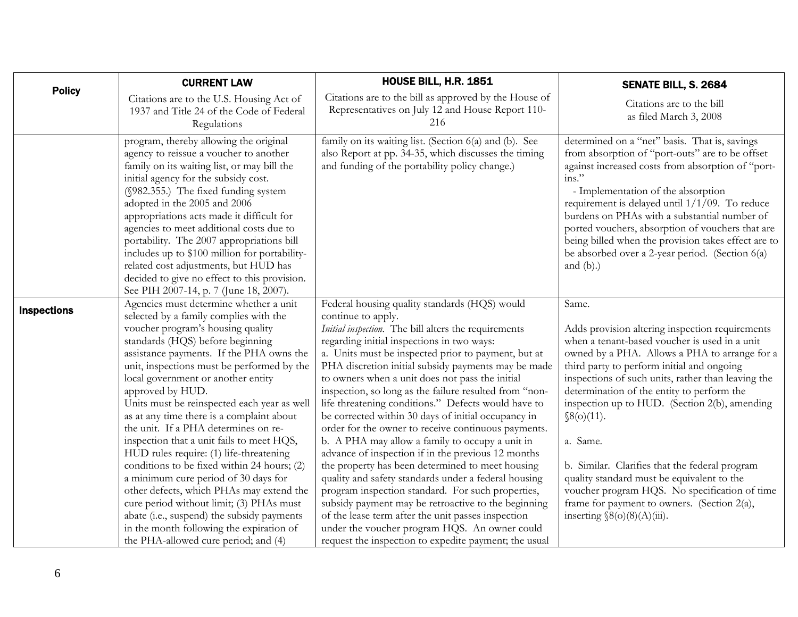<span id="page-5-0"></span>

| <b>Policy</b>      | <b>CURRENT LAW</b>                                                                                                                                                                                                                                                                                                                                                                                                                                                                                                                                                                                                                                                                                                                                                                                                                                         | <b>HOUSE BILL, H.R. 1851</b>                                                                                                                                                                                                                                                                                                                                                                                                                                                                                                                                                                                                                                                                                                                                                                                                                                                                                                                                                                                                                                               | SENATE BILL, S. 2684                                                                                                                                                                                                                                                                                                                                                                                                                                                                                                                                                                                                       |
|--------------------|------------------------------------------------------------------------------------------------------------------------------------------------------------------------------------------------------------------------------------------------------------------------------------------------------------------------------------------------------------------------------------------------------------------------------------------------------------------------------------------------------------------------------------------------------------------------------------------------------------------------------------------------------------------------------------------------------------------------------------------------------------------------------------------------------------------------------------------------------------|----------------------------------------------------------------------------------------------------------------------------------------------------------------------------------------------------------------------------------------------------------------------------------------------------------------------------------------------------------------------------------------------------------------------------------------------------------------------------------------------------------------------------------------------------------------------------------------------------------------------------------------------------------------------------------------------------------------------------------------------------------------------------------------------------------------------------------------------------------------------------------------------------------------------------------------------------------------------------------------------------------------------------------------------------------------------------|----------------------------------------------------------------------------------------------------------------------------------------------------------------------------------------------------------------------------------------------------------------------------------------------------------------------------------------------------------------------------------------------------------------------------------------------------------------------------------------------------------------------------------------------------------------------------------------------------------------------------|
|                    | Citations are to the U.S. Housing Act of<br>1937 and Title 24 of the Code of Federal<br>Regulations                                                                                                                                                                                                                                                                                                                                                                                                                                                                                                                                                                                                                                                                                                                                                        | Citations are to the bill as approved by the House of<br>Representatives on July 12 and House Report 110-<br>216                                                                                                                                                                                                                                                                                                                                                                                                                                                                                                                                                                                                                                                                                                                                                                                                                                                                                                                                                           | Citations are to the bill<br>as filed March 3, 2008                                                                                                                                                                                                                                                                                                                                                                                                                                                                                                                                                                        |
|                    | program, thereby allowing the original<br>agency to reissue a voucher to another<br>family on its waiting list, or may bill the<br>initial agency for the subsidy cost.<br>(§982.355.) The fixed funding system<br>adopted in the 2005 and 2006<br>appropriations acts made it difficult for<br>agencies to meet additional costs due to<br>portability. The 2007 appropriations bill<br>includes up to \$100 million for portability-<br>related cost adjustments, but HUD has<br>decided to give no effect to this provision.<br>See PIH 2007-14, p. 7 (June 18, 2007).                                                                                                                                                                                                                                                                                  | family on its waiting list. (Section 6(a) and (b). See<br>also Report at pp. 34-35, which discusses the timing<br>and funding of the portability policy change.)                                                                                                                                                                                                                                                                                                                                                                                                                                                                                                                                                                                                                                                                                                                                                                                                                                                                                                           | determined on a "net" basis. That is, savings<br>from absorption of "port-outs" are to be offset<br>against increased costs from absorption of "port-<br>$ins.$ "<br>- Implementation of the absorption<br>requirement is delayed until $1/1/09$ . To reduce<br>burdens on PHAs with a substantial number of<br>ported vouchers, absorption of vouchers that are<br>being billed when the provision takes effect are to<br>be absorbed over a 2-year period. (Section 6(a)<br>and $(b)$ .)                                                                                                                                 |
| <b>Inspections</b> | Agencies must determine whether a unit<br>selected by a family complies with the<br>voucher program's housing quality<br>standards (HQS) before beginning<br>assistance payments. If the PHA owns the<br>unit, inspections must be performed by the<br>local government or another entity<br>approved by HUD.<br>Units must be reinspected each year as well<br>as at any time there is a complaint about<br>the unit. If a PHA determines on re-<br>inspection that a unit fails to meet HQS,<br>HUD rules require: (1) life-threatening<br>conditions to be fixed within 24 hours; (2)<br>a minimum cure period of 30 days for<br>other defects, which PHAs may extend the<br>cure period without limit; (3) PHAs must<br>abate (i.e., suspend) the subsidy payments<br>in the month following the expiration of<br>the PHA-allowed cure period; and (4) | Federal housing quality standards (HQS) would<br>continue to apply.<br>Initial inspection. The bill alters the requirements<br>regarding initial inspections in two ways:<br>a. Units must be inspected prior to payment, but at<br>PHA discretion initial subsidy payments may be made<br>to owners when a unit does not pass the initial<br>inspection, so long as the failure resulted from "non-<br>life threatening conditions." Defects would have to<br>be corrected within 30 days of initial occupancy in<br>order for the owner to receive continuous payments.<br>b. A PHA may allow a family to occupy a unit in<br>advance of inspection if in the previous 12 months<br>the property has been determined to meet housing<br>quality and safety standards under a federal housing<br>program inspection standard. For such properties,<br>subsidy payment may be retroactive to the beginning<br>of the lease term after the unit passes inspection<br>under the voucher program HQS. An owner could<br>request the inspection to expedite payment; the usual | Same.<br>Adds provision altering inspection requirements<br>when a tenant-based voucher is used in a unit<br>owned by a PHA. Allows a PHA to arrange for a<br>third party to perform initial and ongoing<br>inspections of such units, rather than leaving the<br>determination of the entity to perform the<br>inspection up to HUD. (Section 2(b), amending<br>\$8(0)(11).<br>a. Same.<br>b. Similar. Clarifies that the federal program<br>quality standard must be equivalent to the<br>voucher program HQS. No specification of time<br>frame for payment to owners. (Section 2(a),<br>inserting $\S(0)(8)(A)(iii)$ . |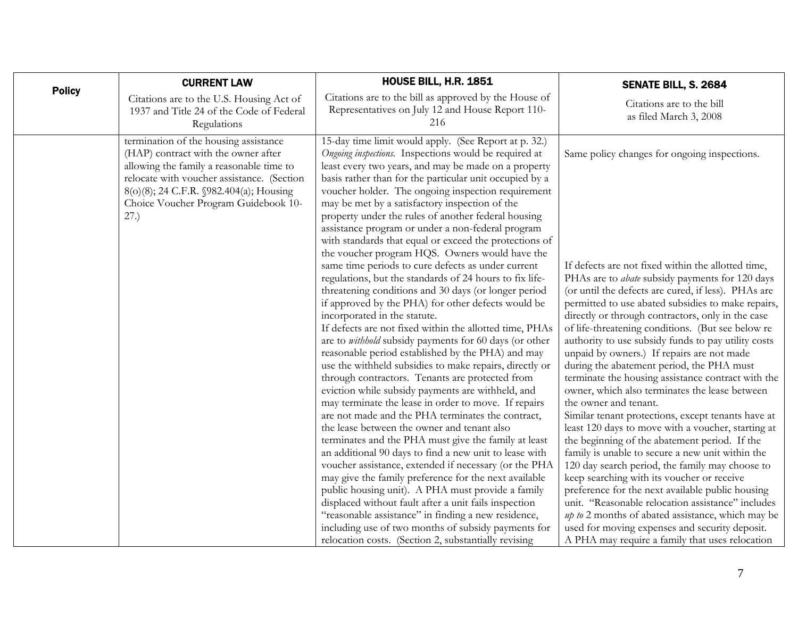| <b>Policy</b> | <b>CURRENT LAW</b>                                                                                                                                                                                                                                                | <b>HOUSE BILL, H.R. 1851</b>                                                                                                                                                                                                                                                                                                                                                                                                                                                                                                                                                                                                                                                                                                                                                                                                                                                                                                                                                                                                                                                                                                                                                                                                                                                                                                                                                                                                                                                                                                                                                                                                                                                                                                                                                                                                                                      | SENATE BILL, S. 2684                                                                                                                                                                                                                                                                                                                                                                                                                                                                                                                                                                                                                                                                                                                                                                                                                                                                                                                                                                                                                                                                                                                                                                                                                                        |
|---------------|-------------------------------------------------------------------------------------------------------------------------------------------------------------------------------------------------------------------------------------------------------------------|-------------------------------------------------------------------------------------------------------------------------------------------------------------------------------------------------------------------------------------------------------------------------------------------------------------------------------------------------------------------------------------------------------------------------------------------------------------------------------------------------------------------------------------------------------------------------------------------------------------------------------------------------------------------------------------------------------------------------------------------------------------------------------------------------------------------------------------------------------------------------------------------------------------------------------------------------------------------------------------------------------------------------------------------------------------------------------------------------------------------------------------------------------------------------------------------------------------------------------------------------------------------------------------------------------------------------------------------------------------------------------------------------------------------------------------------------------------------------------------------------------------------------------------------------------------------------------------------------------------------------------------------------------------------------------------------------------------------------------------------------------------------------------------------------------------------------------------------------------------------|-------------------------------------------------------------------------------------------------------------------------------------------------------------------------------------------------------------------------------------------------------------------------------------------------------------------------------------------------------------------------------------------------------------------------------------------------------------------------------------------------------------------------------------------------------------------------------------------------------------------------------------------------------------------------------------------------------------------------------------------------------------------------------------------------------------------------------------------------------------------------------------------------------------------------------------------------------------------------------------------------------------------------------------------------------------------------------------------------------------------------------------------------------------------------------------------------------------------------------------------------------------|
|               | Citations are to the U.S. Housing Act of<br>1937 and Title 24 of the Code of Federal<br>Regulations                                                                                                                                                               | Citations are to the bill as approved by the House of<br>Representatives on July 12 and House Report 110-<br>216                                                                                                                                                                                                                                                                                                                                                                                                                                                                                                                                                                                                                                                                                                                                                                                                                                                                                                                                                                                                                                                                                                                                                                                                                                                                                                                                                                                                                                                                                                                                                                                                                                                                                                                                                  | Citations are to the bill<br>as filed March 3, 2008                                                                                                                                                                                                                                                                                                                                                                                                                                                                                                                                                                                                                                                                                                                                                                                                                                                                                                                                                                                                                                                                                                                                                                                                         |
|               | termination of the housing assistance<br>(HAP) contract with the owner after<br>allowing the family a reasonable time to<br>relocate with voucher assistance. (Section<br>8(o)(8); 24 C.F.R. §982.404(a); Housing<br>Choice Voucher Program Guidebook 10-<br>27.) | 15-day time limit would apply. (See Report at p. 32.)<br>Ongoing inspections. Inspections would be required at<br>least every two years, and may be made on a property<br>basis rather than for the particular unit occupied by a<br>voucher holder. The ongoing inspection requirement<br>may be met by a satisfactory inspection of the<br>property under the rules of another federal housing<br>assistance program or under a non-federal program<br>with standards that equal or exceed the protections of<br>the voucher program HQS. Owners would have the<br>same time periods to cure defects as under current<br>regulations, but the standards of 24 hours to fix life-<br>threatening conditions and 30 days (or longer period<br>if approved by the PHA) for other defects would be<br>incorporated in the statute.<br>If defects are not fixed within the allotted time, PHAs<br>are to withhold subsidy payments for 60 days (or other<br>reasonable period established by the PHA) and may<br>use the withheld subsidies to make repairs, directly or<br>through contractors. Tenants are protected from<br>eviction while subsidy payments are withheld, and<br>may terminate the lease in order to move. If repairs<br>are not made and the PHA terminates the contract,<br>the lease between the owner and tenant also<br>terminates and the PHA must give the family at least<br>an additional 90 days to find a new unit to lease with<br>voucher assistance, extended if necessary (or the PHA<br>may give the family preference for the next available<br>public housing unit). A PHA must provide a family<br>displaced without fault after a unit fails inspection<br>"reasonable assistance" in finding a new residence,<br>including use of two months of subsidy payments for<br>relocation costs. (Section 2, substantially revising | Same policy changes for ongoing inspections.<br>If defects are not fixed within the allotted time,<br>PHAs are to <i>abate</i> subsidy payments for 120 days<br>(or until the defects are cured, if less). PHAs are<br>permitted to use abated subsidies to make repairs,<br>directly or through contractors, only in the case<br>of life-threatening conditions. (But see below re<br>authority to use subsidy funds to pay utility costs<br>unpaid by owners.) If repairs are not made<br>during the abatement period, the PHA must<br>terminate the housing assistance contract with the<br>owner, which also terminates the lease between<br>the owner and tenant.<br>Similar tenant protections, except tenants have at<br>least 120 days to move with a voucher, starting at<br>the beginning of the abatement period. If the<br>family is unable to secure a new unit within the<br>120 day search period, the family may choose to<br>keep searching with its voucher or receive<br>preference for the next available public housing<br>unit. "Reasonable relocation assistance" includes<br>up to 2 months of abated assistance, which may be<br>used for moving expenses and security deposit.<br>A PHA may require a family that uses relocation |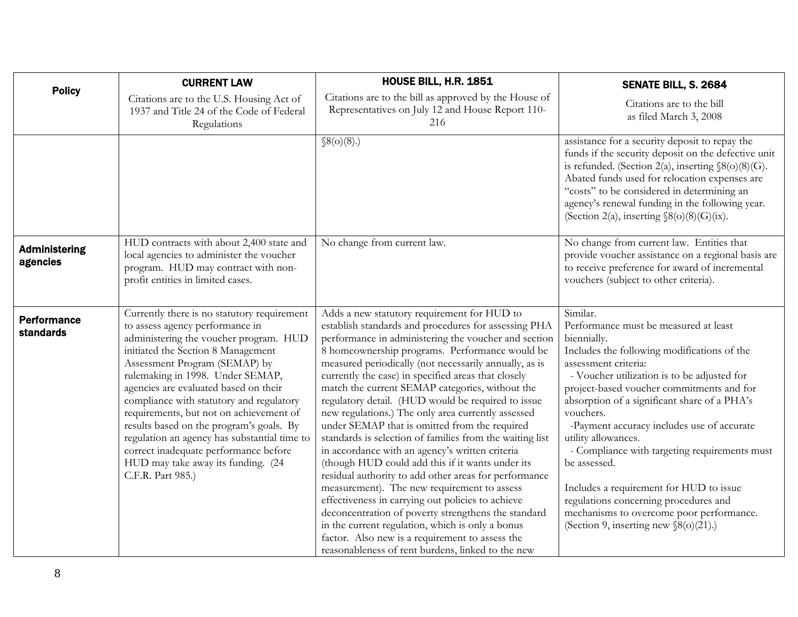<span id="page-7-0"></span>

| <b>Policy</b>                          | <b>CURRENT LAW</b>                                                                                                                                                                                                                                                                                                                                                                                                                                                                                                                                                  | HOUSE BILL, H.R. 1851                                                                                                                                                                                                                                                                                                                                                                                                                                                                                                                                                                                                                                                                                                                                                                                                                                                                                                                                                                                                                                                                             | SENATE BILL, S. 2684                                                                                                                                                                                                                                                                                                                                                                                                                                                                                                                                                                                               |
|----------------------------------------|---------------------------------------------------------------------------------------------------------------------------------------------------------------------------------------------------------------------------------------------------------------------------------------------------------------------------------------------------------------------------------------------------------------------------------------------------------------------------------------------------------------------------------------------------------------------|---------------------------------------------------------------------------------------------------------------------------------------------------------------------------------------------------------------------------------------------------------------------------------------------------------------------------------------------------------------------------------------------------------------------------------------------------------------------------------------------------------------------------------------------------------------------------------------------------------------------------------------------------------------------------------------------------------------------------------------------------------------------------------------------------------------------------------------------------------------------------------------------------------------------------------------------------------------------------------------------------------------------------------------------------------------------------------------------------|--------------------------------------------------------------------------------------------------------------------------------------------------------------------------------------------------------------------------------------------------------------------------------------------------------------------------------------------------------------------------------------------------------------------------------------------------------------------------------------------------------------------------------------------------------------------------------------------------------------------|
|                                        | Citations are to the U.S. Housing Act of<br>1937 and Title 24 of the Code of Federal<br>Regulations                                                                                                                                                                                                                                                                                                                                                                                                                                                                 | Citations are to the bill as approved by the House of<br>Representatives on July 12 and House Report 110-<br>216                                                                                                                                                                                                                                                                                                                                                                                                                                                                                                                                                                                                                                                                                                                                                                                                                                                                                                                                                                                  | Citations are to the bill<br>as filed March 3, 2008                                                                                                                                                                                                                                                                                                                                                                                                                                                                                                                                                                |
|                                        |                                                                                                                                                                                                                                                                                                                                                                                                                                                                                                                                                                     | \$8(0)(8).                                                                                                                                                                                                                                                                                                                                                                                                                                                                                                                                                                                                                                                                                                                                                                                                                                                                                                                                                                                                                                                                                        | assistance for a security deposit to repay the<br>funds if the security deposit on the defective unit<br>is refunded. (Section 2(a), inserting $\S(6)(8)(G)$ .<br>Abated funds used for relocation expenses are<br>"costs" to be considered in determining an<br>agency's renewal funding in the following year.<br>(Section 2(a), inserting $\S(6)(8)(G)(ix)$ .                                                                                                                                                                                                                                                   |
| <b>Administering</b><br>agencies       | HUD contracts with about 2,400 state and<br>local agencies to administer the voucher<br>program. HUD may contract with non-<br>profit entities in limited cases.                                                                                                                                                                                                                                                                                                                                                                                                    | No change from current law.                                                                                                                                                                                                                                                                                                                                                                                                                                                                                                                                                                                                                                                                                                                                                                                                                                                                                                                                                                                                                                                                       | No change from current law. Entities that<br>provide voucher assistance on a regional basis are<br>to receive preference for award of incremental<br>vouchers (subject to other criteria).                                                                                                                                                                                                                                                                                                                                                                                                                         |
| <b>Performance</b><br><b>standards</b> | Currently there is no statutory requirement<br>to assess agency performance in<br>administering the voucher program. HUD<br>initiated the Section 8 Management<br>Assessment Program (SEMAP) by<br>rulemaking in 1998. Under SEMAP,<br>agencies are evaluated based on their<br>compliance with statutory and regulatory<br>requirements, but not on achievement of<br>results based on the program's goals. By<br>regulation an agency has substantial time to<br>correct inadequate performance before<br>HUD may take away its funding. (24<br>C.F.R. Part 985.) | Adds a new statutory requirement for HUD to<br>establish standards and procedures for assessing PHA<br>performance in administering the voucher and section<br>8 homeownership programs. Performance would be<br>measured periodically (not necessarily annually, as is<br>currently the case) in specified areas that closely<br>match the current SEMAP categories, without the<br>regulatory detail. (HUD would be required to issue<br>new regulations.) The only area currently assessed<br>under SEMAP that is omitted from the required<br>standards is selection of families from the waiting list<br>in accordance with an agency's written criteria<br>(though HUD could add this if it wants under its<br>residual authority to add other areas for performance<br>measurement). The new requirement to assess<br>effectiveness in carrying out policies to achieve<br>deconcentration of poverty strengthens the standard<br>in the current regulation, which is only a bonus<br>factor. Also new is a requirement to assess the<br>reasonableness of rent burdens, linked to the new | Similar.<br>Performance must be measured at least<br>biennially.<br>Includes the following modifications of the<br>assessment criteria:<br>- Voucher utilization is to be adjusted for<br>project-based voucher commitments and for<br>absorption of a significant share of a PHA's<br>vouchers.<br>-Payment accuracy includes use of accurate<br>utility allowances.<br>- Compliance with targeting requirements must<br>be assessed.<br>Includes a requirement for HUD to issue<br>regulations concerning procedures and<br>mechanisms to overcome poor performance.<br>(Section 9, inserting new $\S(6)(21)$ .) |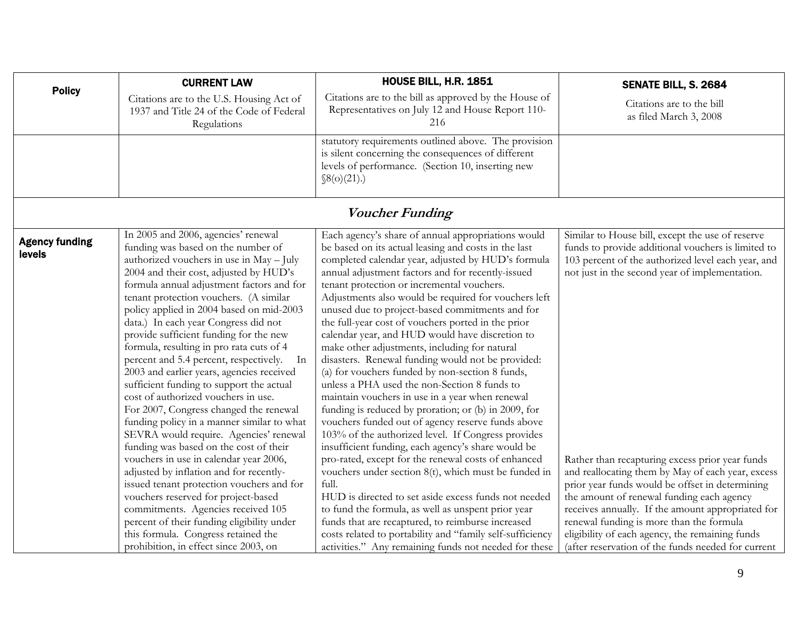<span id="page-8-0"></span>

|                                 | <b>CURRENT LAW</b>                                                                                                                                                                                                                                                                                                                                                                                                                                                                                                                                                                                                                                                                                                                                                                                                                                                                                                                                                                                                                                        | <b>HOUSE BILL, H.R. 1851</b>                                                                                                                                                                                                                                                                                                                                                                                                                                                                                                                                                                                                                                                                                                                                                                                                                                                                                                                                                                                                                                                                                                                                                                                                                                            | SENATE BILL, S. 2684                                                                                                                                                                                                                                                                                                                                                                                                                                                                                                    |
|---------------------------------|-----------------------------------------------------------------------------------------------------------------------------------------------------------------------------------------------------------------------------------------------------------------------------------------------------------------------------------------------------------------------------------------------------------------------------------------------------------------------------------------------------------------------------------------------------------------------------------------------------------------------------------------------------------------------------------------------------------------------------------------------------------------------------------------------------------------------------------------------------------------------------------------------------------------------------------------------------------------------------------------------------------------------------------------------------------|-------------------------------------------------------------------------------------------------------------------------------------------------------------------------------------------------------------------------------------------------------------------------------------------------------------------------------------------------------------------------------------------------------------------------------------------------------------------------------------------------------------------------------------------------------------------------------------------------------------------------------------------------------------------------------------------------------------------------------------------------------------------------------------------------------------------------------------------------------------------------------------------------------------------------------------------------------------------------------------------------------------------------------------------------------------------------------------------------------------------------------------------------------------------------------------------------------------------------------------------------------------------------|-------------------------------------------------------------------------------------------------------------------------------------------------------------------------------------------------------------------------------------------------------------------------------------------------------------------------------------------------------------------------------------------------------------------------------------------------------------------------------------------------------------------------|
| <b>Policy</b>                   | Citations are to the U.S. Housing Act of<br>1937 and Title 24 of the Code of Federal<br>Regulations                                                                                                                                                                                                                                                                                                                                                                                                                                                                                                                                                                                                                                                                                                                                                                                                                                                                                                                                                       | Citations are to the bill as approved by the House of<br>Representatives on July 12 and House Report 110-<br>216                                                                                                                                                                                                                                                                                                                                                                                                                                                                                                                                                                                                                                                                                                                                                                                                                                                                                                                                                                                                                                                                                                                                                        | Citations are to the bill<br>as filed March 3, 2008                                                                                                                                                                                                                                                                                                                                                                                                                                                                     |
|                                 |                                                                                                                                                                                                                                                                                                                                                                                                                                                                                                                                                                                                                                                                                                                                                                                                                                                                                                                                                                                                                                                           | statutory requirements outlined above. The provision<br>is silent concerning the consequences of different<br>levels of performance. (Section 10, inserting new<br>\$8(0)(21).]                                                                                                                                                                                                                                                                                                                                                                                                                                                                                                                                                                                                                                                                                                                                                                                                                                                                                                                                                                                                                                                                                         |                                                                                                                                                                                                                                                                                                                                                                                                                                                                                                                         |
|                                 |                                                                                                                                                                                                                                                                                                                                                                                                                                                                                                                                                                                                                                                                                                                                                                                                                                                                                                                                                                                                                                                           | <b>Voucher Funding</b>                                                                                                                                                                                                                                                                                                                                                                                                                                                                                                                                                                                                                                                                                                                                                                                                                                                                                                                                                                                                                                                                                                                                                                                                                                                  |                                                                                                                                                                                                                                                                                                                                                                                                                                                                                                                         |
| <b>Agency funding</b><br>levels | In 2005 and 2006, agencies' renewal<br>funding was based on the number of<br>authorized vouchers in use in May - July<br>2004 and their cost, adjusted by HUD's<br>formula annual adjustment factors and for<br>tenant protection vouchers. (A similar<br>policy applied in 2004 based on mid-2003<br>data.) In each year Congress did not<br>provide sufficient funding for the new<br>formula, resulting in pro rata cuts of 4<br>percent and 5.4 percent, respectively.<br>In<br>2003 and earlier years, agencies received<br>sufficient funding to support the actual<br>cost of authorized vouchers in use.<br>For 2007, Congress changed the renewal<br>funding policy in a manner similar to what<br>SEVRA would require. Agencies' renewal<br>funding was based on the cost of their<br>vouchers in use in calendar year 2006,<br>adjusted by inflation and for recently-<br>issued tenant protection vouchers and for<br>vouchers reserved for project-based<br>commitments. Agencies received 105<br>percent of their funding eligibility under | Each agency's share of annual appropriations would<br>be based on its actual leasing and costs in the last<br>completed calendar year, adjusted by HUD's formula<br>annual adjustment factors and for recently-issued<br>tenant protection or incremental vouchers.<br>Adjustments also would be required for vouchers left<br>unused due to project-based commitments and for<br>the full-year cost of vouchers ported in the prior<br>calendar year, and HUD would have discretion to<br>make other adjustments, including for natural<br>disasters. Renewal funding would not be provided:<br>(a) for vouchers funded by non-section 8 funds,<br>unless a PHA used the non-Section 8 funds to<br>maintain vouchers in use in a year when renewal<br>funding is reduced by proration; or (b) in 2009, for<br>vouchers funded out of agency reserve funds above<br>103% of the authorized level. If Congress provides<br>insufficient funding, each agency's share would be<br>pro-rated, except for the renewal costs of enhanced<br>vouchers under section 8(t), which must be funded in<br>full.<br>HUD is directed to set aside excess funds not needed<br>to fund the formula, as well as unspent prior year<br>funds that are recaptured, to reimburse increased | Similar to House bill, except the use of reserve<br>funds to provide additional vouchers is limited to<br>103 percent of the authorized level each year, and<br>not just in the second year of implementation.<br>Rather than recapturing excess prior year funds<br>and reallocating them by May of each year, excess<br>prior year funds would be offset in determining<br>the amount of renewal funding each agency<br>receives annually. If the amount appropriated for<br>renewal funding is more than the formula |
|                                 | this formula. Congress retained the<br>prohibition, in effect since 2003, on                                                                                                                                                                                                                                                                                                                                                                                                                                                                                                                                                                                                                                                                                                                                                                                                                                                                                                                                                                              | costs related to portability and "family self-sufficiency<br>activities." Any remaining funds not needed for these                                                                                                                                                                                                                                                                                                                                                                                                                                                                                                                                                                                                                                                                                                                                                                                                                                                                                                                                                                                                                                                                                                                                                      | eligibility of each agency, the remaining funds<br>(after reservation of the funds needed for current                                                                                                                                                                                                                                                                                                                                                                                                                   |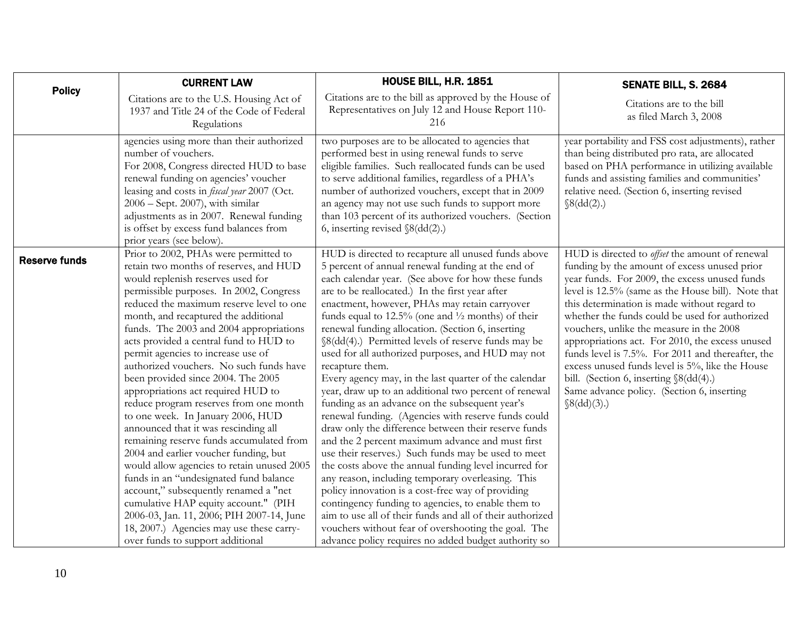<span id="page-9-0"></span>

| <b>Policy</b>        | <b>CURRENT LAW</b>                                                                                                                                                                                                                                                                                                                                                                                                                                                                                                                                                                                                                                                                                                                                                                                                                                                                                                                                                                                                      | <b>HOUSE BILL, H.R. 1851</b>                                                                                                                                                                                                                                                                                                                                                                                                                                                                                                                                                                                                                                                                                                                                                                                                                                                                                                                                                                                                                                                                                                                                                                                                                                                                                                 | SENATE BILL, S. 2684                                                                                                                                                                                                                                                                                                                                                                                                                                                                                                                                                                                                                    |
|----------------------|-------------------------------------------------------------------------------------------------------------------------------------------------------------------------------------------------------------------------------------------------------------------------------------------------------------------------------------------------------------------------------------------------------------------------------------------------------------------------------------------------------------------------------------------------------------------------------------------------------------------------------------------------------------------------------------------------------------------------------------------------------------------------------------------------------------------------------------------------------------------------------------------------------------------------------------------------------------------------------------------------------------------------|------------------------------------------------------------------------------------------------------------------------------------------------------------------------------------------------------------------------------------------------------------------------------------------------------------------------------------------------------------------------------------------------------------------------------------------------------------------------------------------------------------------------------------------------------------------------------------------------------------------------------------------------------------------------------------------------------------------------------------------------------------------------------------------------------------------------------------------------------------------------------------------------------------------------------------------------------------------------------------------------------------------------------------------------------------------------------------------------------------------------------------------------------------------------------------------------------------------------------------------------------------------------------------------------------------------------------|-----------------------------------------------------------------------------------------------------------------------------------------------------------------------------------------------------------------------------------------------------------------------------------------------------------------------------------------------------------------------------------------------------------------------------------------------------------------------------------------------------------------------------------------------------------------------------------------------------------------------------------------|
|                      | Citations are to the U.S. Housing Act of<br>1937 and Title 24 of the Code of Federal<br>Regulations                                                                                                                                                                                                                                                                                                                                                                                                                                                                                                                                                                                                                                                                                                                                                                                                                                                                                                                     | Citations are to the bill as approved by the House of<br>Representatives on July 12 and House Report 110-<br>216                                                                                                                                                                                                                                                                                                                                                                                                                                                                                                                                                                                                                                                                                                                                                                                                                                                                                                                                                                                                                                                                                                                                                                                                             | Citations are to the bill<br>as filed March 3, 2008                                                                                                                                                                                                                                                                                                                                                                                                                                                                                                                                                                                     |
|                      | agencies using more than their authorized<br>number of vouchers.<br>For 2008, Congress directed HUD to base<br>renewal funding on agencies' voucher<br>leasing and costs in <i>fiscal year</i> 2007 (Oct.<br>2006 - Sept. 2007), with similar<br>adjustments as in 2007. Renewal funding<br>is offset by excess fund balances from<br>prior years (see below).                                                                                                                                                                                                                                                                                                                                                                                                                                                                                                                                                                                                                                                          | two purposes are to be allocated to agencies that<br>performed best in using renewal funds to serve<br>eligible families. Such reallocated funds can be used<br>to serve additional families, regardless of a PHA's<br>number of authorized vouchers, except that in 2009<br>an agency may not use such funds to support more<br>than 103 percent of its authorized vouchers. (Section<br>6, inserting revised $\delta(dd(2))$                                                                                                                                                                                                                                                                                                                                                                                                                                                                                                                                                                                                                                                                                                                                                                                                                                                                                               | year portability and FSS cost adjustments), rather<br>than being distributed pro rata, are allocated<br>based on PHA performance in utilizing available<br>funds and assisting families and communities'<br>relative need. (Section 6, inserting revised<br>$\mathcal{S}(dd(2))$                                                                                                                                                                                                                                                                                                                                                        |
| <b>Reserve funds</b> | Prior to 2002, PHAs were permitted to<br>retain two months of reserves, and HUD<br>would replenish reserves used for<br>permissible purposes. In 2002, Congress<br>reduced the maximum reserve level to one<br>month, and recaptured the additional<br>funds. The 2003 and 2004 appropriations<br>acts provided a central fund to HUD to<br>permit agencies to increase use of<br>authorized vouchers. No such funds have<br>been provided since 2004. The 2005<br>appropriations act required HUD to<br>reduce program reserves from one month<br>to one week. In January 2006, HUD<br>announced that it was rescinding all<br>remaining reserve funds accumulated from<br>2004 and earlier voucher funding, but<br>would allow agencies to retain unused 2005<br>funds in an "undesignated fund balance<br>account," subsequently renamed a "net<br>cumulative HAP equity account." (PIH<br>2006-03, Jan. 11, 2006; PIH 2007-14, June<br>18, 2007.) Agencies may use these carry-<br>over funds to support additional | HUD is directed to recapture all unused funds above<br>5 percent of annual renewal funding at the end of<br>each calendar year. (See above for how these funds<br>are to be reallocated.) In the first year after<br>enactment, however, PHAs may retain carryover<br>funds equal to $12.5\%$ (one and $\frac{1}{2}$ months) of their<br>renewal funding allocation. (Section 6, inserting<br>§8(dd(4).) Permitted levels of reserve funds may be<br>used for all authorized purposes, and HUD may not<br>recapture them.<br>Every agency may, in the last quarter of the calendar<br>year, draw up to an additional two percent of renewal<br>funding as an advance on the subsequent year's<br>renewal funding. (Agencies with reserve funds could<br>draw only the difference between their reserve funds<br>and the 2 percent maximum advance and must first<br>use their reserves.) Such funds may be used to meet<br>the costs above the annual funding level incurred for<br>any reason, including temporary overleasing. This<br>policy innovation is a cost-free way of providing<br>contingency funding to agencies, to enable them to<br>aim to use all of their funds and all of their authorized<br>vouchers without fear of overshooting the goal. The<br>advance policy requires no added budget authority so | HUD is directed to <i>offset</i> the amount of renewal<br>funding by the amount of excess unused prior<br>year funds. For 2009, the excess unused funds<br>level is 12.5% (same as the House bill). Note that<br>this determination is made without regard to<br>whether the funds could be used for authorized<br>vouchers, unlike the measure in the 2008<br>appropriations act. For 2010, the excess unused<br>funds level is 7.5%. For 2011 and thereafter, the<br>excess unused funds level is 5%, like the House<br>bill. (Section 6, inserting §8(dd(4).)<br>Same advance policy. (Section 6, inserting<br>$\mathcal{S}(dd)(3).$ |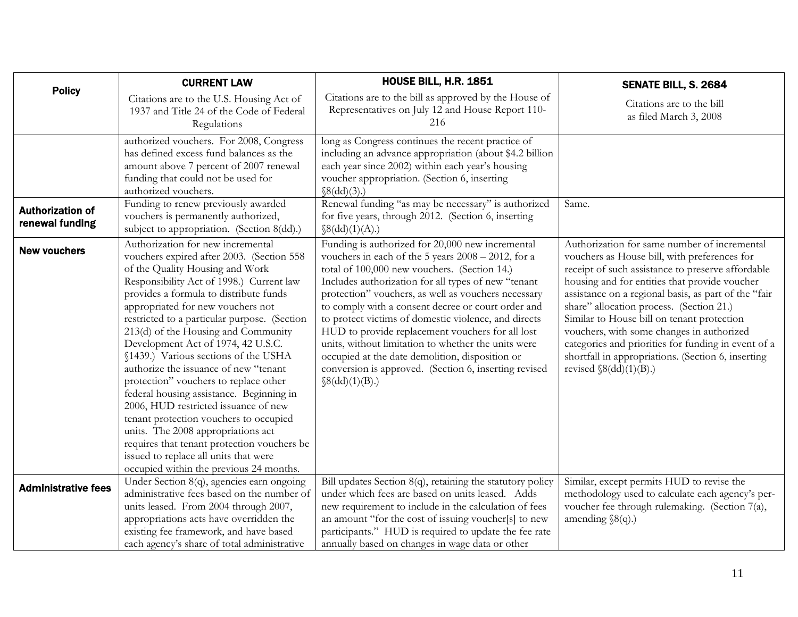<span id="page-10-0"></span>

|                                            | <b>CURRENT LAW</b>                                                                                                                                                                                                                                                                                                                                                                                                                                                                                                                                                                                                                                                                                                                                                                                         | HOUSE BILL, H.R. 1851                                                                                                                                                                                                                                                                                                                                                                                                                                                                                                                                                                                                            | SENATE BILL, S. 2684                                                                                                                                                                                                                                                                                                                                                                                                                                                                                                                            |
|--------------------------------------------|------------------------------------------------------------------------------------------------------------------------------------------------------------------------------------------------------------------------------------------------------------------------------------------------------------------------------------------------------------------------------------------------------------------------------------------------------------------------------------------------------------------------------------------------------------------------------------------------------------------------------------------------------------------------------------------------------------------------------------------------------------------------------------------------------------|----------------------------------------------------------------------------------------------------------------------------------------------------------------------------------------------------------------------------------------------------------------------------------------------------------------------------------------------------------------------------------------------------------------------------------------------------------------------------------------------------------------------------------------------------------------------------------------------------------------------------------|-------------------------------------------------------------------------------------------------------------------------------------------------------------------------------------------------------------------------------------------------------------------------------------------------------------------------------------------------------------------------------------------------------------------------------------------------------------------------------------------------------------------------------------------------|
| <b>Policy</b>                              | Citations are to the U.S. Housing Act of<br>1937 and Title 24 of the Code of Federal<br>Regulations                                                                                                                                                                                                                                                                                                                                                                                                                                                                                                                                                                                                                                                                                                        | Citations are to the bill as approved by the House of<br>Representatives on July 12 and House Report 110-<br>216                                                                                                                                                                                                                                                                                                                                                                                                                                                                                                                 | Citations are to the bill<br>as filed March 3, 2008                                                                                                                                                                                                                                                                                                                                                                                                                                                                                             |
|                                            | authorized vouchers. For 2008, Congress<br>has defined excess fund balances as the<br>amount above 7 percent of 2007 renewal<br>funding that could not be used for<br>authorized vouchers.                                                                                                                                                                                                                                                                                                                                                                                                                                                                                                                                                                                                                 | long as Congress continues the recent practice of<br>including an advance appropriation (about \$4.2 billion<br>each year since 2002) within each year's housing<br>voucher appropriation. (Section 6, inserting<br>$\{(8(dd)(3))$ .                                                                                                                                                                                                                                                                                                                                                                                             |                                                                                                                                                                                                                                                                                                                                                                                                                                                                                                                                                 |
| <b>Authorization of</b><br>renewal funding | Funding to renew previously awarded<br>vouchers is permanently authorized,<br>subject to appropriation. (Section 8(dd).)                                                                                                                                                                                                                                                                                                                                                                                                                                                                                                                                                                                                                                                                                   | Renewal funding "as may be necessary" is authorized<br>for five years, through 2012. (Section 6, inserting<br>$\{(8(dd)(1)(A)).\}$                                                                                                                                                                                                                                                                                                                                                                                                                                                                                               | Same.                                                                                                                                                                                                                                                                                                                                                                                                                                                                                                                                           |
| <b>New vouchers</b>                        | Authorization for new incremental<br>vouchers expired after 2003. (Section 558<br>of the Quality Housing and Work<br>Responsibility Act of 1998.) Current law<br>provides a formula to distribute funds<br>appropriated for new vouchers not<br>restricted to a particular purpose. (Section<br>213(d) of the Housing and Community<br>Development Act of 1974, 42 U.S.C.<br>§1439.) Various sections of the USHA<br>authorize the issuance of new "tenant<br>protection" vouchers to replace other<br>federal housing assistance. Beginning in<br>2006, HUD restricted issuance of new<br>tenant protection vouchers to occupied<br>units. The 2008 appropriations act<br>requires that tenant protection vouchers be<br>issued to replace all units that were<br>occupied within the previous 24 months. | Funding is authorized for 20,000 new incremental<br>vouchers in each of the 5 years 2008 - 2012, for a<br>total of 100,000 new vouchers. (Section 14.)<br>Includes authorization for all types of new "tenant<br>protection" vouchers, as well as vouchers necessary<br>to comply with a consent decree or court order and<br>to protect victims of domestic violence, and directs<br>HUD to provide replacement vouchers for all lost<br>units, without limitation to whether the units were<br>occupied at the date demolition, disposition or<br>conversion is approved. (Section 6, inserting revised<br>$\{(8(dd)(1)(B))\}$ | Authorization for same number of incremental<br>vouchers as House bill, with preferences for<br>receipt of such assistance to preserve affordable<br>housing and for entities that provide voucher<br>assistance on a regional basis, as part of the "fair<br>share" allocation process. (Section 21.)<br>Similar to House bill on tenant protection<br>vouchers, with some changes in authorized<br>categories and priorities for funding in event of a<br>shortfall in appropriations. (Section 6, inserting<br>revised $\delta(dd)(1)(B)$ .) |
| <b>Administrative fees</b>                 | Under Section 8(q), agencies earn ongoing<br>administrative fees based on the number of<br>units leased. From 2004 through 2007,<br>appropriations acts have overridden the<br>existing fee framework, and have based                                                                                                                                                                                                                                                                                                                                                                                                                                                                                                                                                                                      | Bill updates Section $8(q)$ , retaining the statutory policy<br>under which fees are based on units leased. Adds<br>new requirement to include in the calculation of fees<br>an amount "for the cost of issuing voucher[s] to new<br>participants." HUD is required to update the fee rate                                                                                                                                                                                                                                                                                                                                       | Similar, except permits HUD to revise the<br>methodology used to calculate each agency's per-<br>voucher fee through rulemaking. (Section 7(a),<br>amending $\S(9)$ .)                                                                                                                                                                                                                                                                                                                                                                          |
|                                            | each agency's share of total administrative                                                                                                                                                                                                                                                                                                                                                                                                                                                                                                                                                                                                                                                                                                                                                                | annually based on changes in wage data or other                                                                                                                                                                                                                                                                                                                                                                                                                                                                                                                                                                                  |                                                                                                                                                                                                                                                                                                                                                                                                                                                                                                                                                 |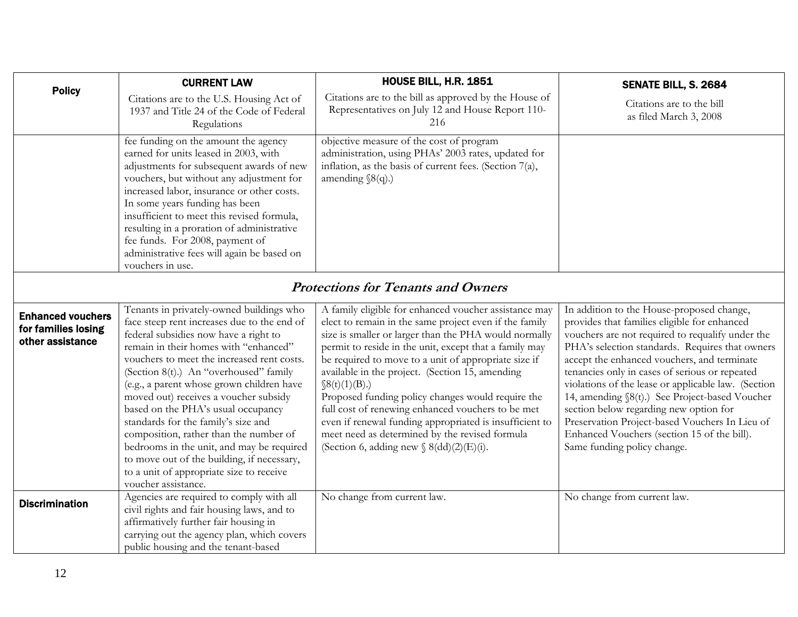<span id="page-11-0"></span>

|                                                                     | <b>CURRENT LAW</b>                                                                                                                                                                                                                                                                                                                                                                                                                                                                                                                                                                                                                           | <b>HOUSE BILL, H.R. 1851</b>                                                                                                                                                                                                                                                                                                                                                                                                                                                                                                                                                                                                             | SENATE BILL, S. 2684                                                                                                                                                                                                                                                                                                                                                                                                                                                                                                                                                                 |  |
|---------------------------------------------------------------------|----------------------------------------------------------------------------------------------------------------------------------------------------------------------------------------------------------------------------------------------------------------------------------------------------------------------------------------------------------------------------------------------------------------------------------------------------------------------------------------------------------------------------------------------------------------------------------------------------------------------------------------------|------------------------------------------------------------------------------------------------------------------------------------------------------------------------------------------------------------------------------------------------------------------------------------------------------------------------------------------------------------------------------------------------------------------------------------------------------------------------------------------------------------------------------------------------------------------------------------------------------------------------------------------|--------------------------------------------------------------------------------------------------------------------------------------------------------------------------------------------------------------------------------------------------------------------------------------------------------------------------------------------------------------------------------------------------------------------------------------------------------------------------------------------------------------------------------------------------------------------------------------|--|
| <b>Policy</b>                                                       | Citations are to the U.S. Housing Act of<br>1937 and Title 24 of the Code of Federal<br>Regulations                                                                                                                                                                                                                                                                                                                                                                                                                                                                                                                                          | Citations are to the bill as approved by the House of<br>Representatives on July 12 and House Report 110-<br>216                                                                                                                                                                                                                                                                                                                                                                                                                                                                                                                         | Citations are to the bill<br>as filed March 3, 2008                                                                                                                                                                                                                                                                                                                                                                                                                                                                                                                                  |  |
|                                                                     | fee funding on the amount the agency<br>earned for units leased in 2003, with<br>adjustments for subsequent awards of new<br>vouchers, but without any adjustment for<br>increased labor, insurance or other costs.<br>In some years funding has been<br>insufficient to meet this revised formula,<br>resulting in a proration of administrative<br>fee funds. For 2008, payment of<br>administrative fees will again be based on<br>vouchers in use.                                                                                                                                                                                       | objective measure of the cost of program<br>administration, using PHAs' 2003 rates, updated for<br>inflation, as the basis of current fees. (Section 7(a),<br>amending $\S(q)$ .)                                                                                                                                                                                                                                                                                                                                                                                                                                                        |                                                                                                                                                                                                                                                                                                                                                                                                                                                                                                                                                                                      |  |
|                                                                     | <b>Protections for Tenants and Owners</b>                                                                                                                                                                                                                                                                                                                                                                                                                                                                                                                                                                                                    |                                                                                                                                                                                                                                                                                                                                                                                                                                                                                                                                                                                                                                          |                                                                                                                                                                                                                                                                                                                                                                                                                                                                                                                                                                                      |  |
| <b>Enhanced vouchers</b><br>for families losing<br>other assistance | Tenants in privately-owned buildings who<br>face steep rent increases due to the end of<br>federal subsidies now have a right to<br>remain in their homes with "enhanced"<br>vouchers to meet the increased rent costs.<br>(Section 8(t).) An "overhoused" family<br>(e.g., a parent whose grown children have<br>moved out) receives a voucher subsidy<br>based on the PHA's usual occupancy<br>standards for the family's size and<br>composition, rather than the number of<br>bedrooms in the unit, and may be required<br>to move out of the building, if necessary,<br>to a unit of appropriate size to receive<br>voucher assistance. | A family eligible for enhanced voucher assistance may<br>elect to remain in the same project even if the family<br>size is smaller or larger than the PHA would normally<br>permit to reside in the unit, except that a family may<br>be required to move to a unit of appropriate size if<br>available in the project. (Section 15, amending<br>$\S(6t)(1)(B)$ .)<br>Proposed funding policy changes would require the<br>full cost of renewing enhanced vouchers to be met<br>even if renewal funding appropriated is insufficient to<br>meet need as determined by the revised formula<br>(Section 6, adding new $\S$ 8(dd)(2)(E)(i). | In addition to the House-proposed change,<br>provides that families eligible for enhanced<br>vouchers are not required to requalify under the<br>PHA's selection standards. Requires that owners<br>accept the enhanced vouchers, and terminate<br>tenancies only in cases of serious or repeated<br>violations of the lease or applicable law. (Section<br>14, amending §8(t).) See Project-based Voucher<br>section below regarding new option for<br>Preservation Project-based Vouchers In Lieu of<br>Enhanced Vouchers (section 15 of the bill).<br>Same funding policy change. |  |
| <b>Discrimination</b>                                               | Agencies are required to comply with all<br>civil rights and fair housing laws, and to                                                                                                                                                                                                                                                                                                                                                                                                                                                                                                                                                       | No change from current law.                                                                                                                                                                                                                                                                                                                                                                                                                                                                                                                                                                                                              | No change from current law.                                                                                                                                                                                                                                                                                                                                                                                                                                                                                                                                                          |  |
|                                                                     | affirmatively further fair housing in<br>carrying out the agency plan, which covers<br>public housing and the tenant-based                                                                                                                                                                                                                                                                                                                                                                                                                                                                                                                   |                                                                                                                                                                                                                                                                                                                                                                                                                                                                                                                                                                                                                                          |                                                                                                                                                                                                                                                                                                                                                                                                                                                                                                                                                                                      |  |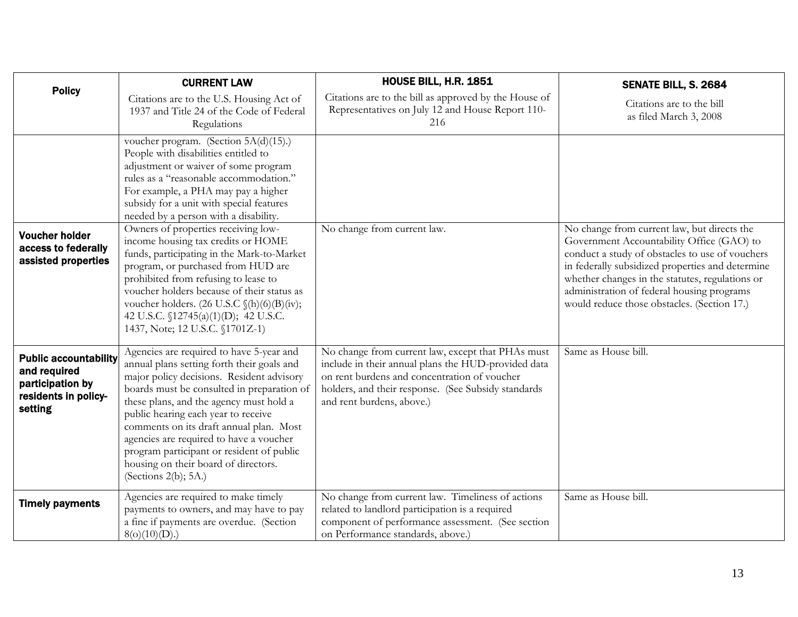<span id="page-12-0"></span>

| <b>Policy</b>                                                                                       | <b>CURRENT LAW</b>                                                                                                                                                                                                                                                                                                                                                                                                                                                        | <b>HOUSE BILL, H.R. 1851</b>                                                                                                                                                                                                                 | SENATE BILL, S. 2684                                                                                                                                                                                                                                                                                                                            |
|-----------------------------------------------------------------------------------------------------|---------------------------------------------------------------------------------------------------------------------------------------------------------------------------------------------------------------------------------------------------------------------------------------------------------------------------------------------------------------------------------------------------------------------------------------------------------------------------|----------------------------------------------------------------------------------------------------------------------------------------------------------------------------------------------------------------------------------------------|-------------------------------------------------------------------------------------------------------------------------------------------------------------------------------------------------------------------------------------------------------------------------------------------------------------------------------------------------|
|                                                                                                     | Citations are to the U.S. Housing Act of<br>1937 and Title 24 of the Code of Federal<br>Regulations                                                                                                                                                                                                                                                                                                                                                                       | Citations are to the bill as approved by the House of<br>Representatives on July 12 and House Report 110-<br>216                                                                                                                             | Citations are to the bill<br>as filed March 3, 2008                                                                                                                                                                                                                                                                                             |
|                                                                                                     | voucher program. (Section 5A(d)(15).)<br>People with disabilities entitled to<br>adjustment or waiver of some program<br>rules as a "reasonable accommodation."<br>For example, a PHA may pay a higher<br>subsidy for a unit with special features<br>needed by a person with a disability.                                                                                                                                                                               |                                                                                                                                                                                                                                              |                                                                                                                                                                                                                                                                                                                                                 |
| <b>Voucher holder</b><br>access to federally<br>assisted properties                                 | Owners of properties receiving low-<br>income housing tax credits or HOME<br>funds, participating in the Mark-to-Market<br>program, or purchased from HUD are<br>prohibited from refusing to lease to<br>voucher holders because of their status as<br>voucher holders. (26 U.S.C $\mathcal{S}(h)(6)(B)(iv);$<br>42 U.S.C. §12745(a)(1)(D); 42 U.S.C.<br>1437, Note; 12 U.S.C. §1701Z-1)                                                                                  | No change from current law.                                                                                                                                                                                                                  | No change from current law, but directs the<br>Government Accountability Office (GAO) to<br>conduct a study of obstacles to use of vouchers<br>in federally subsidized properties and determine<br>whether changes in the statutes, regulations or<br>administration of federal housing programs<br>would reduce those obstacles. (Section 17.) |
| <b>Public accountability</b><br>and required<br>participation by<br>residents in policy-<br>setting | Agencies are required to have 5-year and<br>annual plans setting forth their goals and<br>major policy decisions. Resident advisory<br>boards must be consulted in preparation of<br>these plans, and the agency must hold a<br>public hearing each year to receive<br>comments on its draft annual plan. Most<br>agencies are required to have a voucher<br>program participant or resident of public<br>housing on their board of directors.<br>(Sections $2(b)$ ; 5A.) | No change from current law, except that PHAs must<br>include in their annual plans the HUD-provided data<br>on rent burdens and concentration of voucher<br>holders, and their response. (See Subsidy standards<br>and rent burdens, above.) | Same as House bill.                                                                                                                                                                                                                                                                                                                             |
| <b>Timely payments</b>                                                                              | Agencies are required to make timely<br>payments to owners, and may have to pay<br>a fine if payments are overdue. (Section<br>$8(o)(10)(D)$ .)                                                                                                                                                                                                                                                                                                                           | No change from current law. Timeliness of actions<br>related to landlord participation is a required<br>component of performance assessment. (See section<br>on Performance standards, above.)                                               | Same as House bill.                                                                                                                                                                                                                                                                                                                             |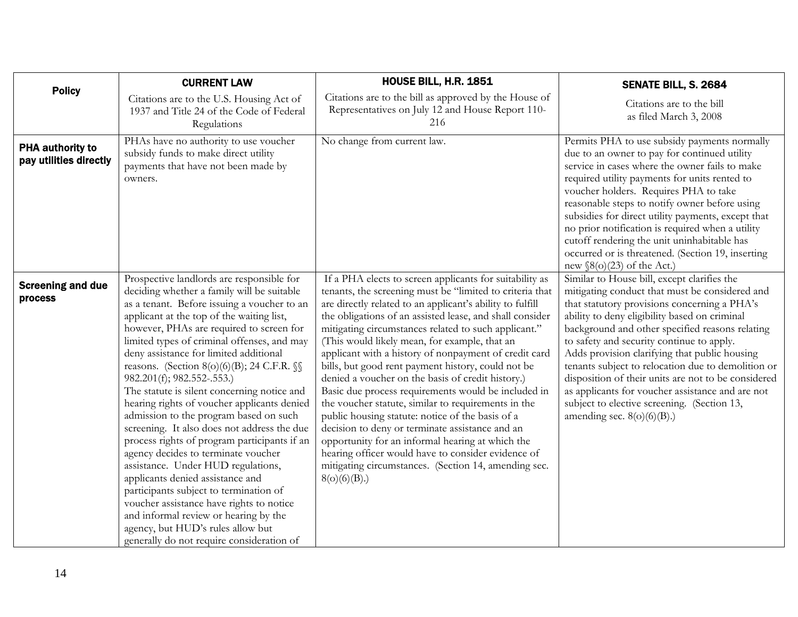<span id="page-13-0"></span>

| <b>Policy</b>                                     | <b>CURRENT LAW</b>                                                                                                                                                                                                                                                                                                                                                                                                                                                                                                                                                                                                                                                                                                                                                                                                                                                                                                                                                            | <b>HOUSE BILL, H.R. 1851</b>                                                                                                                                                                                                                                                                                                                                                                                                                                                                                                                                                                                                                                                                                                                                                                                                                                                                                                    | SENATE BILL, S. 2684                                                                                                                                                                                                                                                                                                                                                                                                                                                                                                                                                                             |
|---------------------------------------------------|-------------------------------------------------------------------------------------------------------------------------------------------------------------------------------------------------------------------------------------------------------------------------------------------------------------------------------------------------------------------------------------------------------------------------------------------------------------------------------------------------------------------------------------------------------------------------------------------------------------------------------------------------------------------------------------------------------------------------------------------------------------------------------------------------------------------------------------------------------------------------------------------------------------------------------------------------------------------------------|---------------------------------------------------------------------------------------------------------------------------------------------------------------------------------------------------------------------------------------------------------------------------------------------------------------------------------------------------------------------------------------------------------------------------------------------------------------------------------------------------------------------------------------------------------------------------------------------------------------------------------------------------------------------------------------------------------------------------------------------------------------------------------------------------------------------------------------------------------------------------------------------------------------------------------|--------------------------------------------------------------------------------------------------------------------------------------------------------------------------------------------------------------------------------------------------------------------------------------------------------------------------------------------------------------------------------------------------------------------------------------------------------------------------------------------------------------------------------------------------------------------------------------------------|
|                                                   | Citations are to the U.S. Housing Act of<br>1937 and Title 24 of the Code of Federal<br>Regulations                                                                                                                                                                                                                                                                                                                                                                                                                                                                                                                                                                                                                                                                                                                                                                                                                                                                           | Citations are to the bill as approved by the House of<br>Representatives on July 12 and House Report 110-<br>216                                                                                                                                                                                                                                                                                                                                                                                                                                                                                                                                                                                                                                                                                                                                                                                                                | Citations are to the bill<br>as filed March 3, 2008                                                                                                                                                                                                                                                                                                                                                                                                                                                                                                                                              |
| <b>PHA authority to</b><br>pay utilities directly | PHAs have no authority to use voucher<br>subsidy funds to make direct utility<br>payments that have not been made by<br>owners.                                                                                                                                                                                                                                                                                                                                                                                                                                                                                                                                                                                                                                                                                                                                                                                                                                               | No change from current law.                                                                                                                                                                                                                                                                                                                                                                                                                                                                                                                                                                                                                                                                                                                                                                                                                                                                                                     | Permits PHA to use subsidy payments normally<br>due to an owner to pay for continued utility<br>service in cases where the owner fails to make<br>required utility payments for units rented to<br>voucher holders. Requires PHA to take<br>reasonable steps to notify owner before using<br>subsidies for direct utility payments, except that<br>no prior notification is required when a utility<br>cutoff rendering the unit uninhabitable has<br>occurred or is threatened. (Section 19, inserting<br>new $\S(6)(23)$ of the Act.)                                                          |
| <b>Screening and due</b><br>process               | Prospective landlords are responsible for<br>deciding whether a family will be suitable<br>as a tenant. Before issuing a voucher to an<br>applicant at the top of the waiting list,<br>however, PHAs are required to screen for<br>limited types of criminal offenses, and may<br>deny assistance for limited additional<br>reasons. (Section 8(o)(6)(B); 24 C.F.R. §§<br>982.201(f); 982.552-.553.)<br>The statute is silent concerning notice and<br>hearing rights of voucher applicants denied<br>admission to the program based on such<br>screening. It also does not address the due<br>process rights of program participants if an<br>agency decides to terminate voucher<br>assistance. Under HUD regulations,<br>applicants denied assistance and<br>participants subject to termination of<br>voucher assistance have rights to notice<br>and informal review or hearing by the<br>agency, but HUD's rules allow but<br>generally do not require consideration of | If a PHA elects to screen applicants for suitability as<br>tenants, the screening must be "limited to criteria that<br>are directly related to an applicant's ability to fulfill<br>the obligations of an assisted lease, and shall consider<br>mitigating circumstances related to such applicant."<br>(This would likely mean, for example, that an<br>applicant with a history of nonpayment of credit card<br>bills, but good rent payment history, could not be<br>denied a voucher on the basis of credit history.)<br>Basic due process requirements would be included in<br>the voucher statute, similar to requirements in the<br>public housing statute: notice of the basis of a<br>decision to deny or terminate assistance and an<br>opportunity for an informal hearing at which the<br>hearing officer would have to consider evidence of<br>mitigating circumstances. (Section 14, amending sec.<br>8(o)(6)(B). | Similar to House bill, except clarifies the<br>mitigating conduct that must be considered and<br>that statutory provisions concerning a PHA's<br>ability to deny eligibility based on criminal<br>background and other specified reasons relating<br>to safety and security continue to apply.<br>Adds provision clarifying that public housing<br>tenants subject to relocation due to demolition or<br>disposition of their units are not to be considered<br>as applicants for voucher assistance and are not<br>subject to elective screening. (Section 13,<br>amending sec. $8(o)(6)(B)$ .) |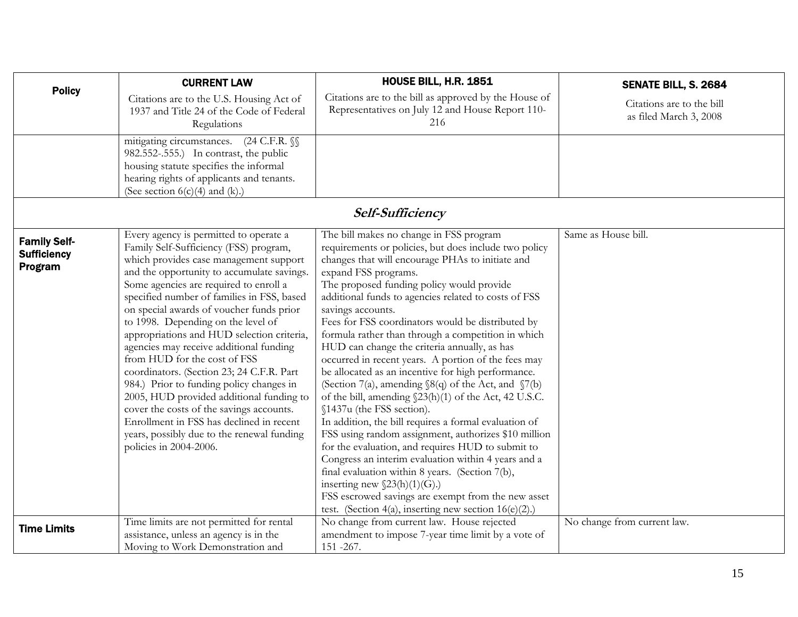<span id="page-14-0"></span>

|                                                      | <b>CURRENT LAW</b>                                                                                                                                                                                                                                                                                                                                                                                                                                                                                                                                                                                                                                                                                                                                                               | HOUSE BILL, H.R. 1851                                                                                                                                                                                                                                                                                                                                                                                                                                                                                                                                                                                                                                                                                                                                                                                                                                                                                                                                                                                                                                                                                                                                                | SENATE BILL, S. 2684                                |
|------------------------------------------------------|----------------------------------------------------------------------------------------------------------------------------------------------------------------------------------------------------------------------------------------------------------------------------------------------------------------------------------------------------------------------------------------------------------------------------------------------------------------------------------------------------------------------------------------------------------------------------------------------------------------------------------------------------------------------------------------------------------------------------------------------------------------------------------|----------------------------------------------------------------------------------------------------------------------------------------------------------------------------------------------------------------------------------------------------------------------------------------------------------------------------------------------------------------------------------------------------------------------------------------------------------------------------------------------------------------------------------------------------------------------------------------------------------------------------------------------------------------------------------------------------------------------------------------------------------------------------------------------------------------------------------------------------------------------------------------------------------------------------------------------------------------------------------------------------------------------------------------------------------------------------------------------------------------------------------------------------------------------|-----------------------------------------------------|
| <b>Policy</b>                                        | Citations are to the U.S. Housing Act of<br>1937 and Title 24 of the Code of Federal<br>Regulations                                                                                                                                                                                                                                                                                                                                                                                                                                                                                                                                                                                                                                                                              | Citations are to the bill as approved by the House of<br>Representatives on July 12 and House Report 110-<br>216                                                                                                                                                                                                                                                                                                                                                                                                                                                                                                                                                                                                                                                                                                                                                                                                                                                                                                                                                                                                                                                     | Citations are to the bill<br>as filed March 3, 2008 |
|                                                      | mitigating circumstances.<br>$(24 \text{ C.F.R. } \mathcal{S})$<br>982.552-.555.) In contrast, the public<br>housing statute specifies the informal<br>hearing rights of applicants and tenants.<br>(See section $6(c)(4)$ and $(k)$ .)                                                                                                                                                                                                                                                                                                                                                                                                                                                                                                                                          |                                                                                                                                                                                                                                                                                                                                                                                                                                                                                                                                                                                                                                                                                                                                                                                                                                                                                                                                                                                                                                                                                                                                                                      |                                                     |
|                                                      |                                                                                                                                                                                                                                                                                                                                                                                                                                                                                                                                                                                                                                                                                                                                                                                  | Self-Sufficiency                                                                                                                                                                                                                                                                                                                                                                                                                                                                                                                                                                                                                                                                                                                                                                                                                                                                                                                                                                                                                                                                                                                                                     |                                                     |
| <b>Family Self-</b><br><b>Sufficiency</b><br>Program | Every agency is permitted to operate a<br>Family Self-Sufficiency (FSS) program,<br>which provides case management support<br>and the opportunity to accumulate savings.<br>Some agencies are required to enroll a<br>specified number of families in FSS, based<br>on special awards of voucher funds prior<br>to 1998. Depending on the level of<br>appropriations and HUD selection criteria,<br>agencies may receive additional funding<br>from HUD for the cost of FSS<br>coordinators. (Section 23; 24 C.F.R. Part<br>984.) Prior to funding policy changes in<br>2005, HUD provided additional funding to<br>cover the costs of the savings accounts.<br>Enrollment in FSS has declined in recent<br>years, possibly due to the renewal funding<br>policies in 2004-2006. | The bill makes no change in FSS program<br>requirements or policies, but does include two policy<br>changes that will encourage PHAs to initiate and<br>expand FSS programs.<br>The proposed funding policy would provide<br>additional funds to agencies related to costs of FSS<br>savings accounts.<br>Fees for FSS coordinators would be distributed by<br>formula rather than through a competition in which<br>HUD can change the criteria annually, as has<br>occurred in recent years. A portion of the fees may<br>be allocated as an incentive for high performance.<br>(Section 7(a), amending §8(q) of the Act, and §7(b)<br>of the bill, amending $\S23(h)(1)$ of the Act, 42 U.S.C.<br>§1437u (the FSS section).<br>In addition, the bill requires a formal evaluation of<br>FSS using random assignment, authorizes \$10 million<br>for the evaluation, and requires HUD to submit to<br>Congress an interim evaluation within 4 years and a<br>final evaluation within 8 years. (Section 7(b),<br>inserting new $\S23(h)(1)(G)$ .)<br>FSS escrowed savings are exempt from the new asset<br>test. (Section 4(a), inserting new section $16(e)(2)$ .) | Same as House bill.                                 |
| <b>Time Limits</b>                                   | Time limits are not permitted for rental<br>assistance, unless an agency is in the<br>Moving to Work Demonstration and                                                                                                                                                                                                                                                                                                                                                                                                                                                                                                                                                                                                                                                           | No change from current law. House rejected<br>amendment to impose 7-year time limit by a vote of<br>151 - 267.                                                                                                                                                                                                                                                                                                                                                                                                                                                                                                                                                                                                                                                                                                                                                                                                                                                                                                                                                                                                                                                       | No change from current law.                         |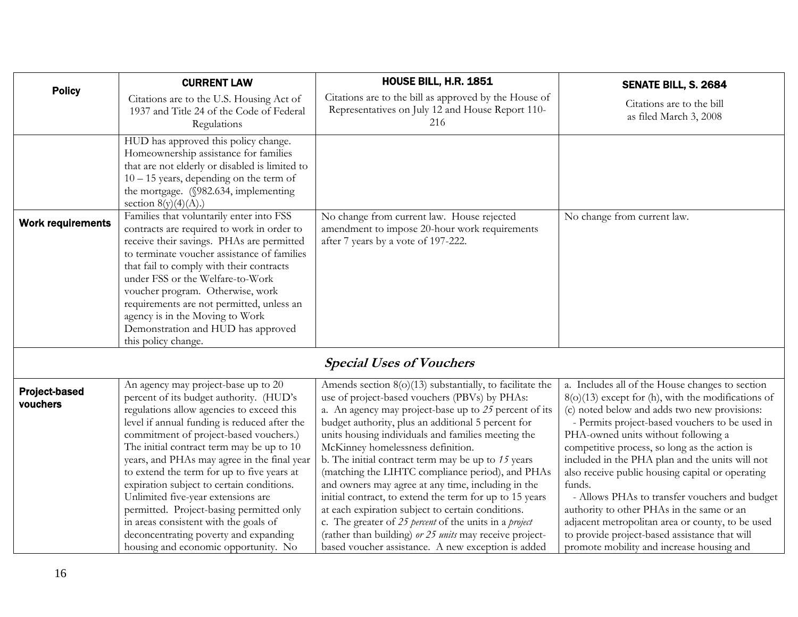<span id="page-15-0"></span>

|                                  | <b>CURRENT LAW</b>                                                                                                                                                                                                                                                                                                                                                                                                                                                                                                                                                                                                       | <b>HOUSE BILL, H.R. 1851</b>                                                                                                                                                                                                                                                                                                                                                                                                                                                                                                                                                                                                                                                                                                                                                     | SENATE BILL, S. 2684                                                                                                                                                                                                                                                                                                                                                                                                                                                                                                                                                                                                                                               |
|----------------------------------|--------------------------------------------------------------------------------------------------------------------------------------------------------------------------------------------------------------------------------------------------------------------------------------------------------------------------------------------------------------------------------------------------------------------------------------------------------------------------------------------------------------------------------------------------------------------------------------------------------------------------|----------------------------------------------------------------------------------------------------------------------------------------------------------------------------------------------------------------------------------------------------------------------------------------------------------------------------------------------------------------------------------------------------------------------------------------------------------------------------------------------------------------------------------------------------------------------------------------------------------------------------------------------------------------------------------------------------------------------------------------------------------------------------------|--------------------------------------------------------------------------------------------------------------------------------------------------------------------------------------------------------------------------------------------------------------------------------------------------------------------------------------------------------------------------------------------------------------------------------------------------------------------------------------------------------------------------------------------------------------------------------------------------------------------------------------------------------------------|
| <b>Policy</b>                    | Citations are to the U.S. Housing Act of<br>1937 and Title 24 of the Code of Federal<br>Regulations                                                                                                                                                                                                                                                                                                                                                                                                                                                                                                                      | Citations are to the bill as approved by the House of<br>Representatives on July 12 and House Report 110-<br>216                                                                                                                                                                                                                                                                                                                                                                                                                                                                                                                                                                                                                                                                 | Citations are to the bill<br>as filed March 3, 2008                                                                                                                                                                                                                                                                                                                                                                                                                                                                                                                                                                                                                |
|                                  | HUD has approved this policy change.<br>Homeownership assistance for families<br>that are not elderly or disabled is limited to<br>$10 - 15$ years, depending on the term of<br>the mortgage. (§982.634, implementing<br>section $8(y)(4)(A)$ .)                                                                                                                                                                                                                                                                                                                                                                         |                                                                                                                                                                                                                                                                                                                                                                                                                                                                                                                                                                                                                                                                                                                                                                                  |                                                                                                                                                                                                                                                                                                                                                                                                                                                                                                                                                                                                                                                                    |
| <b>Work requirements</b>         | Families that voluntarily enter into FSS<br>contracts are required to work in order to<br>receive their savings. PHAs are permitted<br>to terminate voucher assistance of families<br>that fail to comply with their contracts<br>under FSS or the Welfare-to-Work<br>voucher program. Otherwise, work<br>requirements are not permitted, unless an<br>agency is in the Moving to Work<br>Demonstration and HUD has approved<br>this policy change.                                                                                                                                                                      | No change from current law. House rejected<br>amendment to impose 20-hour work requirements<br>after 7 years by a vote of 197-222.                                                                                                                                                                                                                                                                                                                                                                                                                                                                                                                                                                                                                                               | No change from current law.                                                                                                                                                                                                                                                                                                                                                                                                                                                                                                                                                                                                                                        |
|                                  |                                                                                                                                                                                                                                                                                                                                                                                                                                                                                                                                                                                                                          | <b>Special Uses of Vouchers</b>                                                                                                                                                                                                                                                                                                                                                                                                                                                                                                                                                                                                                                                                                                                                                  |                                                                                                                                                                                                                                                                                                                                                                                                                                                                                                                                                                                                                                                                    |
| <b>Project-based</b><br>vouchers | An agency may project-base up to 20<br>percent of its budget authority. (HUD's<br>regulations allow agencies to exceed this<br>level if annual funding is reduced after the<br>commitment of project-based vouchers.)<br>The initial contract term may be up to 10<br>years, and PHAs may agree in the final year<br>to extend the term for up to five years at<br>expiration subject to certain conditions.<br>Unlimited five-year extensions are<br>permitted. Project-basing permitted only<br>in areas consistent with the goals of<br>deconcentrating poverty and expanding<br>housing and economic opportunity. No | Amends section $8(0)(13)$ substantially, to facilitate the<br>use of project-based vouchers (PBVs) by PHAs:<br>a. An agency may project-base up to 25 percent of its<br>budget authority, plus an additional 5 percent for<br>units housing individuals and families meeting the<br>McKinney homelessness definition.<br>b. The initial contract term may be up to 15 years<br>(matching the LIHTC compliance period), and PHAs<br>and owners may agree at any time, including in the<br>initial contract, to extend the term for up to 15 years<br>at each expiration subject to certain conditions.<br>c. The greater of 25 percent of the units in a project<br>(rather than building) or 25 units may receive project-<br>based voucher assistance. A new exception is added | a. Includes all of the House changes to section<br>$8(o)(13)$ except for (h), with the modifications of<br>(c) noted below and adds two new provisions:<br>- Permits project-based vouchers to be used in<br>PHA-owned units without following a<br>competitive process, so long as the action is<br>included in the PHA plan and the units will not<br>also receive public housing capital or operating<br>funds.<br>- Allows PHAs to transfer vouchers and budget<br>authority to other PHAs in the same or an<br>adjacent metropolitan area or county, to be used<br>to provide project-based assistance that will<br>promote mobility and increase housing and |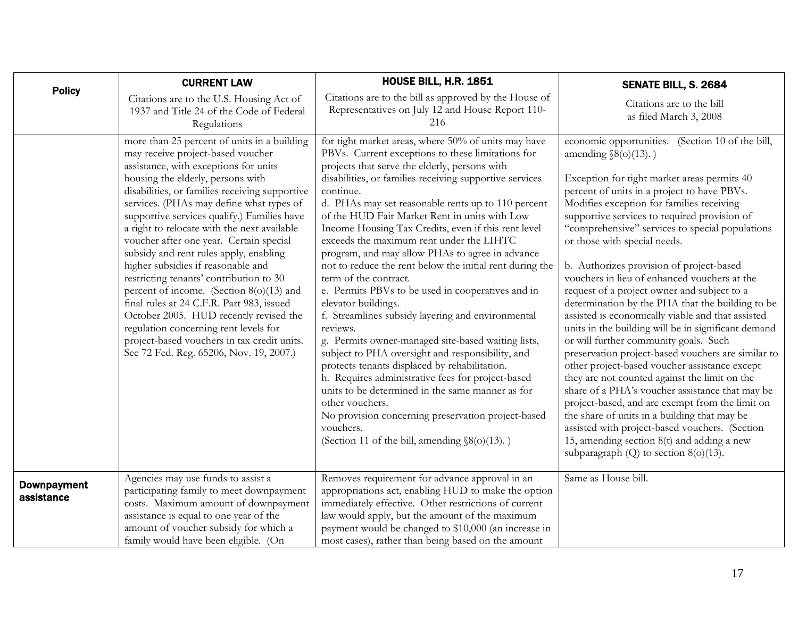<span id="page-16-0"></span>

|                                  | <b>CURRENT LAW</b>                                                                                                                                                                                                                                                                                                                                                                                                                                                                                                                                                                                                                                                                                                                                                                                     | <b>HOUSE BILL, H.R. 1851</b>                                                                                                                                                                                                                                                                                                                                                                                                                                                                                                                                                                                                                                                                                                                                                                                                                                                                                                                                                                                                                                                                                                                   | SENATE BILL, S. 2684                                                                                                                                                                                                                                                                                                                                                                                                                                                                                                                                                                                                                                                                                                                                                                                                                                                                                                                                                                                                                                                                                                                                                      |
|----------------------------------|--------------------------------------------------------------------------------------------------------------------------------------------------------------------------------------------------------------------------------------------------------------------------------------------------------------------------------------------------------------------------------------------------------------------------------------------------------------------------------------------------------------------------------------------------------------------------------------------------------------------------------------------------------------------------------------------------------------------------------------------------------------------------------------------------------|------------------------------------------------------------------------------------------------------------------------------------------------------------------------------------------------------------------------------------------------------------------------------------------------------------------------------------------------------------------------------------------------------------------------------------------------------------------------------------------------------------------------------------------------------------------------------------------------------------------------------------------------------------------------------------------------------------------------------------------------------------------------------------------------------------------------------------------------------------------------------------------------------------------------------------------------------------------------------------------------------------------------------------------------------------------------------------------------------------------------------------------------|---------------------------------------------------------------------------------------------------------------------------------------------------------------------------------------------------------------------------------------------------------------------------------------------------------------------------------------------------------------------------------------------------------------------------------------------------------------------------------------------------------------------------------------------------------------------------------------------------------------------------------------------------------------------------------------------------------------------------------------------------------------------------------------------------------------------------------------------------------------------------------------------------------------------------------------------------------------------------------------------------------------------------------------------------------------------------------------------------------------------------------------------------------------------------|
| <b>Policy</b>                    | Citations are to the U.S. Housing Act of<br>1937 and Title 24 of the Code of Federal<br>Regulations                                                                                                                                                                                                                                                                                                                                                                                                                                                                                                                                                                                                                                                                                                    | Citations are to the bill as approved by the House of<br>Representatives on July 12 and House Report 110-<br>216                                                                                                                                                                                                                                                                                                                                                                                                                                                                                                                                                                                                                                                                                                                                                                                                                                                                                                                                                                                                                               | Citations are to the bill<br>as filed March 3, 2008                                                                                                                                                                                                                                                                                                                                                                                                                                                                                                                                                                                                                                                                                                                                                                                                                                                                                                                                                                                                                                                                                                                       |
|                                  | more than 25 percent of units in a building<br>may receive project-based voucher<br>assistance, with exceptions for units<br>housing the elderly, persons with<br>disabilities, or families receiving supportive<br>services. (PHAs may define what types of<br>supportive services qualify.) Families have<br>a right to relocate with the next available<br>voucher after one year. Certain special<br>subsidy and rent rules apply, enabling<br>higher subsidies if reasonable and<br>restricting tenants' contribution to 30<br>percent of income. (Section 8(o)(13) and<br>final rules at 24 C.F.R. Part 983, issued<br>October 2005. HUD recently revised the<br>regulation concerning rent levels for<br>project-based vouchers in tax credit units.<br>See 72 Fed. Reg. 65206, Nov. 19, 2007.) | for tight market areas, where 50% of units may have<br>PBVs. Current exceptions to these limitations for<br>projects that serve the elderly, persons with<br>disabilities, or families receiving supportive services<br>continue.<br>d. PHAs may set reasonable rents up to 110 percent<br>of the HUD Fair Market Rent in units with Low<br>Income Housing Tax Credits, even if this rent level<br>exceeds the maximum rent under the LIHTC<br>program, and may allow PHAs to agree in advance<br>not to reduce the rent below the initial rent during the<br>term of the contract.<br>e. Permits PBVs to be used in cooperatives and in<br>elevator buildings.<br>f. Streamlines subsidy layering and environmental<br>reviews.<br>g. Permits owner-managed site-based waiting lists,<br>subject to PHA oversight and responsibility, and<br>protects tenants displaced by rehabilitation.<br>h. Requires administrative fees for project-based<br>units to be determined in the same manner as for<br>other vouchers.<br>No provision concerning preservation project-based<br>vouchers.<br>(Section 11 of the bill, amending $\S(6)(13)$ .) | economic opportunities. (Section 10 of the bill,<br>amending $\S(6)(13)$ .)<br>Exception for tight market areas permits 40<br>percent of units in a project to have PBVs.<br>Modifies exception for families receiving<br>supportive services to required provision of<br>"comprehensive" services to special populations<br>or those with special needs.<br>b. Authorizes provision of project-based<br>vouchers in lieu of enhanced vouchers at the<br>request of a project owner and subject to a<br>determination by the PHA that the building to be<br>assisted is economically viable and that assisted<br>units in the building will be in significant demand<br>or will further community goals. Such<br>preservation project-based vouchers are similar to<br>other project-based voucher assistance except<br>they are not counted against the limit on the<br>share of a PHA's voucher assistance that may be<br>project-based, and are exempt from the limit on<br>the share of units in a building that may be<br>assisted with project-based vouchers. (Section<br>15, amending section 8(t) and adding a new<br>subparagraph $(Q)$ to section $8(o)(13)$ . |
| <b>Downpayment</b><br>assistance | Agencies may use funds to assist a<br>participating family to meet downpayment<br>costs. Maximum amount of downpayment<br>assistance is equal to one year of the<br>amount of voucher subsidy for which a                                                                                                                                                                                                                                                                                                                                                                                                                                                                                                                                                                                              | Removes requirement for advance approval in an<br>appropriations act, enabling HUD to make the option<br>immediately effective. Other restrictions of current<br>law would apply, but the amount of the maximum<br>payment would be changed to \$10,000 (an increase in                                                                                                                                                                                                                                                                                                                                                                                                                                                                                                                                                                                                                                                                                                                                                                                                                                                                        | Same as House bill.                                                                                                                                                                                                                                                                                                                                                                                                                                                                                                                                                                                                                                                                                                                                                                                                                                                                                                                                                                                                                                                                                                                                                       |
|                                  | family would have been eligible. (On                                                                                                                                                                                                                                                                                                                                                                                                                                                                                                                                                                                                                                                                                                                                                                   | most cases), rather than being based on the amount                                                                                                                                                                                                                                                                                                                                                                                                                                                                                                                                                                                                                                                                                                                                                                                                                                                                                                                                                                                                                                                                                             |                                                                                                                                                                                                                                                                                                                                                                                                                                                                                                                                                                                                                                                                                                                                                                                                                                                                                                                                                                                                                                                                                                                                                                           |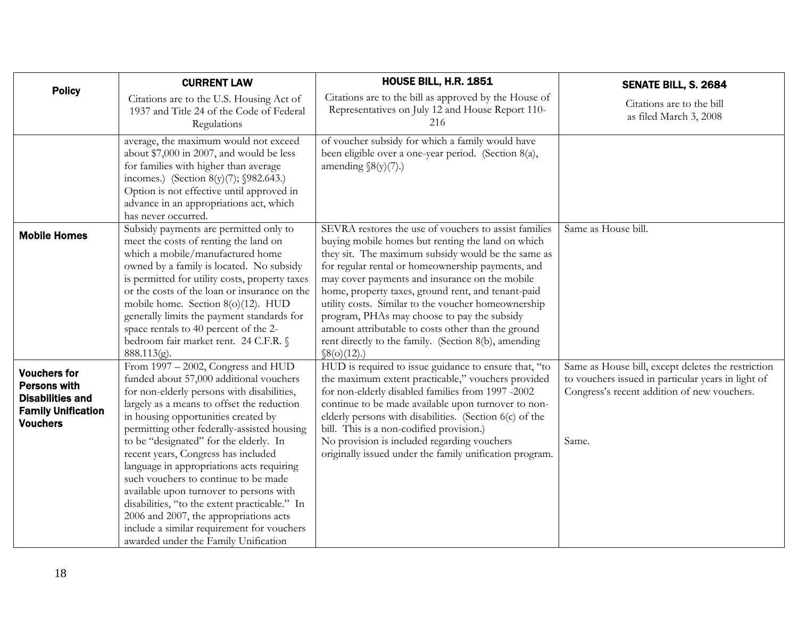<span id="page-17-0"></span>

|                                                                                                                       | <b>CURRENT LAW</b>                                                                                                                                                                                                                                                                                                                                                                                                                                                                                                                                                                                                                                                | <b>HOUSE BILL, H.R. 1851</b>                                                                                                                                                                                                                                                                                                                                                                                                                                                                                                                                     | SENATE BILL, S. 2684                                                                                                                                             |
|-----------------------------------------------------------------------------------------------------------------------|-------------------------------------------------------------------------------------------------------------------------------------------------------------------------------------------------------------------------------------------------------------------------------------------------------------------------------------------------------------------------------------------------------------------------------------------------------------------------------------------------------------------------------------------------------------------------------------------------------------------------------------------------------------------|------------------------------------------------------------------------------------------------------------------------------------------------------------------------------------------------------------------------------------------------------------------------------------------------------------------------------------------------------------------------------------------------------------------------------------------------------------------------------------------------------------------------------------------------------------------|------------------------------------------------------------------------------------------------------------------------------------------------------------------|
| <b>Policy</b>                                                                                                         | Citations are to the U.S. Housing Act of<br>1937 and Title 24 of the Code of Federal<br>Regulations                                                                                                                                                                                                                                                                                                                                                                                                                                                                                                                                                               | Citations are to the bill as approved by the House of<br>Representatives on July 12 and House Report 110-<br>216                                                                                                                                                                                                                                                                                                                                                                                                                                                 | Citations are to the bill<br>as filed March 3, 2008                                                                                                              |
|                                                                                                                       | average, the maximum would not exceed<br>about \$7,000 in 2007, and would be less<br>for families with higher than average<br>incomes.) (Section 8(y)(7); $$982.643$ .)<br>Option is not effective until approved in<br>advance in an appropriations act, which<br>has never occurred.                                                                                                                                                                                                                                                                                                                                                                            | of voucher subsidy for which a family would have<br>been eligible over a one-year period. (Section 8(a),<br>amending $\mathcal{S}(y)(7)$ .)                                                                                                                                                                                                                                                                                                                                                                                                                      |                                                                                                                                                                  |
| <b>Mobile Homes</b>                                                                                                   | Subsidy payments are permitted only to<br>meet the costs of renting the land on<br>which a mobile/manufactured home<br>owned by a family is located. No subsidy<br>is permitted for utility costs, property taxes<br>or the costs of the loan or insurance on the<br>mobile home. Section 8(o)(12). HUD<br>generally limits the payment standards for<br>space rentals to 40 percent of the 2-<br>bedroom fair market rent. 24 C.F.R. §<br>$888.113(g)$ .                                                                                                                                                                                                         | SEVRA restores the use of vouchers to assist families<br>buying mobile homes but renting the land on which<br>they sit. The maximum subsidy would be the same as<br>for regular rental or homeownership payments, and<br>may cover payments and insurance on the mobile<br>home, property taxes, ground rent, and tenant-paid<br>utility costs. Similar to the voucher homeownership<br>program, PHAs may choose to pay the subsidy<br>amount attributable to costs other than the ground<br>rent directly to the family. (Section 8(b), amending<br>\$8(o)(12). | Same as House bill.                                                                                                                                              |
| <b>Vouchers for</b><br><b>Persons with</b><br><b>Disabilities and</b><br><b>Family Unification</b><br><b>Vouchers</b> | From 1997 - 2002, Congress and HUD<br>funded about 57,000 additional vouchers<br>for non-elderly persons with disabilities,<br>largely as a means to offset the reduction<br>in housing opportunities created by<br>permitting other federally-assisted housing<br>to be "designated" for the elderly. In<br>recent years, Congress has included<br>language in appropriations acts requiring<br>such vouchers to continue to be made<br>available upon turnover to persons with<br>disabilities, "to the extent practicable." In<br>2006 and 2007, the appropriations acts<br>include a similar requirement for vouchers<br>awarded under the Family Unification | HUD is required to issue guidance to ensure that, "to<br>the maximum extent practicable," vouchers provided<br>for non-elderly disabled families from 1997 -2002<br>continue to be made available upon turnover to non-<br>elderly persons with disabilities. (Section 6(c) of the<br>bill. This is a non-codified provision.)<br>No provision is included regarding vouchers<br>originally issued under the family unification program.                                                                                                                         | Same as House bill, except deletes the restriction<br>to vouchers issued in particular years in light of<br>Congress's recent addition of new vouchers.<br>Same. |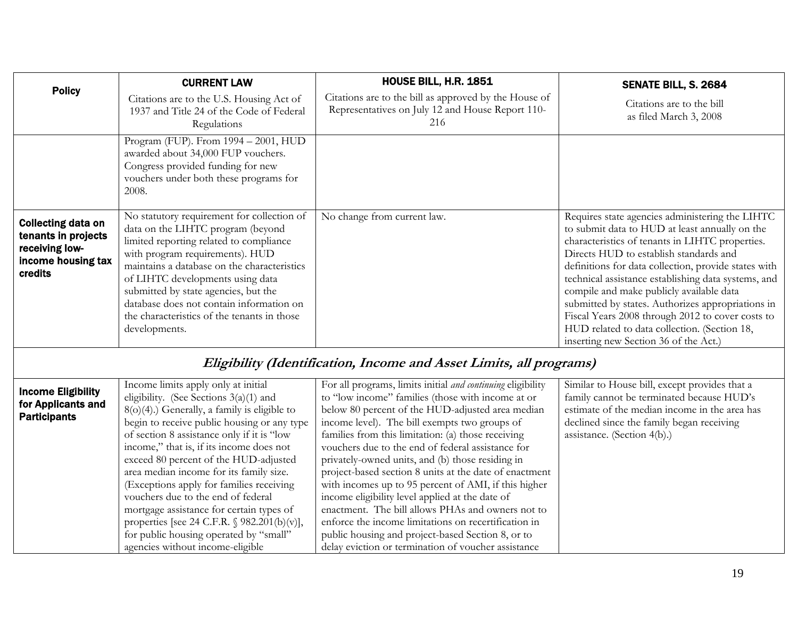<span id="page-18-0"></span>

|                                                                                                     | <b>CURRENT LAW</b>                                                                                                                                                                                                                                                                                                                                                                                   | <b>HOUSE BILL, H.R. 1851</b>                                                                                     | SENATE BILL, S. 2684                                                                                                                                                                                                                                                                                                                                                                                                                                                                                                                                        |
|-----------------------------------------------------------------------------------------------------|------------------------------------------------------------------------------------------------------------------------------------------------------------------------------------------------------------------------------------------------------------------------------------------------------------------------------------------------------------------------------------------------------|------------------------------------------------------------------------------------------------------------------|-------------------------------------------------------------------------------------------------------------------------------------------------------------------------------------------------------------------------------------------------------------------------------------------------------------------------------------------------------------------------------------------------------------------------------------------------------------------------------------------------------------------------------------------------------------|
| <b>Policy</b>                                                                                       | Citations are to the U.S. Housing Act of<br>1937 and Title 24 of the Code of Federal<br>Regulations                                                                                                                                                                                                                                                                                                  | Citations are to the bill as approved by the House of<br>Representatives on July 12 and House Report 110-<br>216 | Citations are to the bill<br>as filed March 3, 2008                                                                                                                                                                                                                                                                                                                                                                                                                                                                                                         |
|                                                                                                     | Program (FUP). From 1994 - 2001, HUD<br>awarded about 34,000 FUP vouchers.<br>Congress provided funding for new<br>vouchers under both these programs for<br>2008.                                                                                                                                                                                                                                   |                                                                                                                  |                                                                                                                                                                                                                                                                                                                                                                                                                                                                                                                                                             |
| <b>Collecting data on</b><br>tenants in projects<br>receiving low-<br>income housing tax<br>credits | No statutory requirement for collection of<br>data on the LIHTC program (beyond<br>limited reporting related to compliance<br>with program requirements). HUD<br>maintains a database on the characteristics<br>of LIHTC developments using data<br>submitted by state agencies, but the<br>database does not contain information on<br>the characteristics of the tenants in those<br>developments. | No change from current law.                                                                                      | Requires state agencies administering the LIHTC<br>to submit data to HUD at least annually on the<br>characteristics of tenants in LIHTC properties.<br>Directs HUD to establish standards and<br>definitions for data collection, provide states with<br>technical assistance establishing data systems, and<br>compile and make publicly available data<br>submitted by states. Authorizes appropriations in<br>Fiscal Years 2008 through 2012 to cover costs to<br>HUD related to data collection. (Section 18,<br>inserting new Section 36 of the Act.) |

## **Eligibility (Identification, Income and Asset Limits, all programs)**

| <b>Income Eligibility</b> | Income limits apply only at initial             | For all programs, limits initial and continuing eligibility | Similar to House bill, except provides that a |
|---------------------------|-------------------------------------------------|-------------------------------------------------------------|-----------------------------------------------|
| for Applicants and        | eligibility. (See Sections $3(a)(1)$ and        | to "low income" families (those with income at or           | family cannot be terminated because HUD's     |
| <b>Participants</b>       | $8(o)(4)$ .) Generally, a family is eligible to | below 80 percent of the HUD-adjusted area median            | estimate of the median income in the area has |
|                           | begin to receive public housing or any type     | income level). The bill exempts two groups of               | declined since the family began receiving     |
|                           | of section 8 assistance only if it is "low      | families from this limitation: (a) those receiving          | assistance. (Section $4(b)$ .)                |
|                           | income," that is, if its income does not        | vouchers due to the end of federal assistance for           |                                               |
|                           | exceed 80 percent of the HUD-adjusted           | privately-owned units, and (b) those residing in            |                                               |
|                           | area median income for its family size.         | project-based section 8 units at the date of enactment      |                                               |
|                           | (Exceptions apply for families receiving        | with incomes up to 95 percent of AMI, if this higher        |                                               |
|                           | vouchers due to the end of federal              | income eligibility level applied at the date of             |                                               |
|                           | mortgage assistance for certain types of        | enactment. The bill allows PHAs and owners not to           |                                               |
|                           | properties [see 24 C.F.R. $\S$ 982.201(b)(v)],  | enforce the income limitations on recertification in        |                                               |
|                           | for public housing operated by "small"          | public housing and project-based Section 8, or to           |                                               |
|                           | agencies without income-eligible                | delay eviction or termination of voucher assistance         |                                               |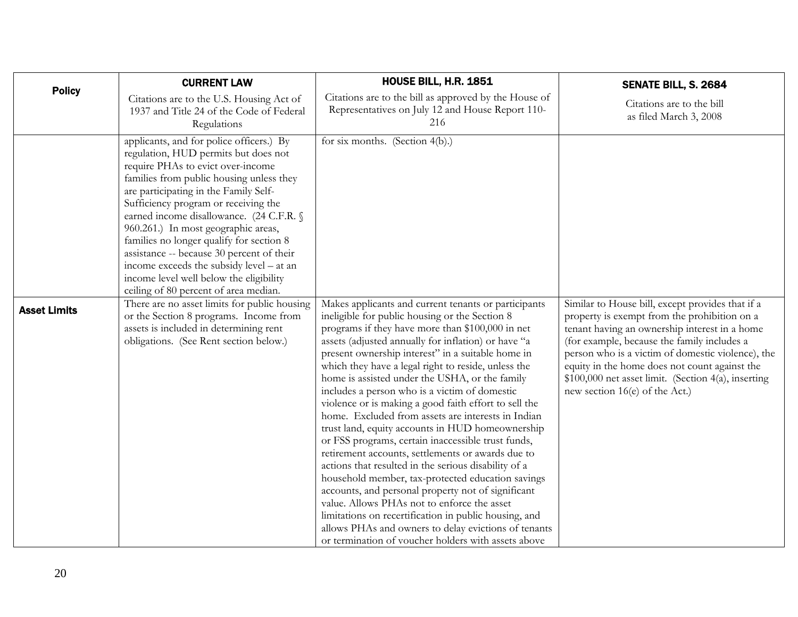<span id="page-19-0"></span>

| <b>Policy</b>       | <b>CURRENT LAW</b>                                                                                                                                                                                                                                                                                                                                                                                                                                                                                                                                             | <b>HOUSE BILL, H.R. 1851</b>                                                                                                                                                                                                                                                                                                                                                                                                                                                                                                                                                                                                                                                                                                                                                                                                                                                                                                                                                                                                                                                                             | SENATE BILL, S. 2684                                                                                                                                                                                                                                                                                                                                                                            |
|---------------------|----------------------------------------------------------------------------------------------------------------------------------------------------------------------------------------------------------------------------------------------------------------------------------------------------------------------------------------------------------------------------------------------------------------------------------------------------------------------------------------------------------------------------------------------------------------|----------------------------------------------------------------------------------------------------------------------------------------------------------------------------------------------------------------------------------------------------------------------------------------------------------------------------------------------------------------------------------------------------------------------------------------------------------------------------------------------------------------------------------------------------------------------------------------------------------------------------------------------------------------------------------------------------------------------------------------------------------------------------------------------------------------------------------------------------------------------------------------------------------------------------------------------------------------------------------------------------------------------------------------------------------------------------------------------------------|-------------------------------------------------------------------------------------------------------------------------------------------------------------------------------------------------------------------------------------------------------------------------------------------------------------------------------------------------------------------------------------------------|
|                     | Citations are to the U.S. Housing Act of<br>1937 and Title 24 of the Code of Federal<br>Regulations                                                                                                                                                                                                                                                                                                                                                                                                                                                            | Citations are to the bill as approved by the House of<br>Representatives on July 12 and House Report 110-<br>216                                                                                                                                                                                                                                                                                                                                                                                                                                                                                                                                                                                                                                                                                                                                                                                                                                                                                                                                                                                         | Citations are to the bill<br>as filed March 3, 2008                                                                                                                                                                                                                                                                                                                                             |
|                     | applicants, and for police officers.) By<br>regulation, HUD permits but does not<br>require PHAs to evict over-income<br>families from public housing unless they<br>are participating in the Family Self-<br>Sufficiency program or receiving the<br>earned income disallowance. (24 C.F.R. §<br>960.261.) In most geographic areas,<br>families no longer qualify for section 8<br>assistance -- because 30 percent of their<br>income exceeds the subsidy level - at an<br>income level well below the eligibility<br>ceiling of 80 percent of area median. | for six months. (Section 4(b).)                                                                                                                                                                                                                                                                                                                                                                                                                                                                                                                                                                                                                                                                                                                                                                                                                                                                                                                                                                                                                                                                          |                                                                                                                                                                                                                                                                                                                                                                                                 |
| <b>Asset Limits</b> | There are no asset limits for public housing<br>or the Section 8 programs. Income from<br>assets is included in determining rent<br>obligations. (See Rent section below.)                                                                                                                                                                                                                                                                                                                                                                                     | Makes applicants and current tenants or participants<br>ineligible for public housing or the Section 8<br>programs if they have more than \$100,000 in net<br>assets (adjusted annually for inflation) or have "a<br>present ownership interest" in a suitable home in<br>which they have a legal right to reside, unless the<br>home is assisted under the USHA, or the family<br>includes a person who is a victim of domestic<br>violence or is making a good faith effort to sell the<br>home. Excluded from assets are interests in Indian<br>trust land, equity accounts in HUD homeownership<br>or FSS programs, certain inaccessible trust funds,<br>retirement accounts, settlements or awards due to<br>actions that resulted in the serious disability of a<br>household member, tax-protected education savings<br>accounts, and personal property not of significant<br>value. Allows PHAs not to enforce the asset<br>limitations on recertification in public housing, and<br>allows PHAs and owners to delay evictions of tenants<br>or termination of voucher holders with assets above | Similar to House bill, except provides that if a<br>property is exempt from the prohibition on a<br>tenant having an ownership interest in a home<br>(for example, because the family includes a<br>person who is a victim of domestic violence), the<br>equity in the home does not count against the<br>\$100,000 net asset limit. (Section 4(a), inserting<br>new section 16(e) of the Act.) |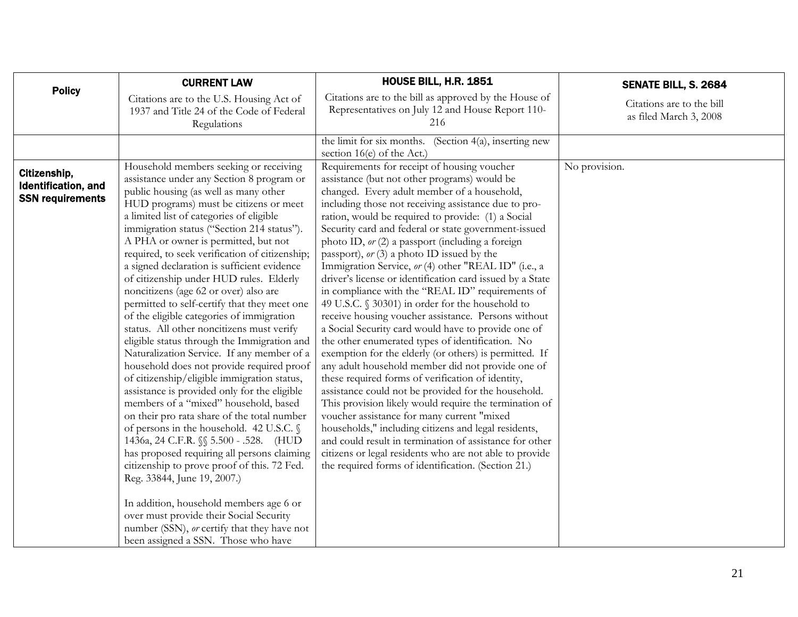<span id="page-20-0"></span>

| <b>Policy</b>                                                  | <b>CURRENT LAW</b>                                                                                                                                                                                                                                                                                                                                                                                                                                                                                                                                                                                                                                                                                                                                                                                                                                                                                                                                                                                                                                             | <b>HOUSE BILL, H.R. 1851</b>                                                                                                                                                                                                                                                                                                                                                                                                                                                                                                                                                                                                                                                                                                                                                                                                                                                                                                                                                                                                                                                                                                                                                                                                                                             | SENATE BILL, S. 2684                                |
|----------------------------------------------------------------|----------------------------------------------------------------------------------------------------------------------------------------------------------------------------------------------------------------------------------------------------------------------------------------------------------------------------------------------------------------------------------------------------------------------------------------------------------------------------------------------------------------------------------------------------------------------------------------------------------------------------------------------------------------------------------------------------------------------------------------------------------------------------------------------------------------------------------------------------------------------------------------------------------------------------------------------------------------------------------------------------------------------------------------------------------------|--------------------------------------------------------------------------------------------------------------------------------------------------------------------------------------------------------------------------------------------------------------------------------------------------------------------------------------------------------------------------------------------------------------------------------------------------------------------------------------------------------------------------------------------------------------------------------------------------------------------------------------------------------------------------------------------------------------------------------------------------------------------------------------------------------------------------------------------------------------------------------------------------------------------------------------------------------------------------------------------------------------------------------------------------------------------------------------------------------------------------------------------------------------------------------------------------------------------------------------------------------------------------|-----------------------------------------------------|
|                                                                | Citations are to the U.S. Housing Act of<br>1937 and Title 24 of the Code of Federal<br>Regulations                                                                                                                                                                                                                                                                                                                                                                                                                                                                                                                                                                                                                                                                                                                                                                                                                                                                                                                                                            | Citations are to the bill as approved by the House of<br>Representatives on July 12 and House Report 110-<br>216                                                                                                                                                                                                                                                                                                                                                                                                                                                                                                                                                                                                                                                                                                                                                                                                                                                                                                                                                                                                                                                                                                                                                         | Citations are to the bill<br>as filed March 3, 2008 |
|                                                                |                                                                                                                                                                                                                                                                                                                                                                                                                                                                                                                                                                                                                                                                                                                                                                                                                                                                                                                                                                                                                                                                | the limit for six months. (Section $4(a)$ , inserting new<br>section 16(e) of the Act.)                                                                                                                                                                                                                                                                                                                                                                                                                                                                                                                                                                                                                                                                                                                                                                                                                                                                                                                                                                                                                                                                                                                                                                                  |                                                     |
| Citizenship,<br>Identification, and<br><b>SSN requirements</b> | Household members seeking or receiving<br>assistance under any Section 8 program or<br>public housing (as well as many other<br>HUD programs) must be citizens or meet<br>a limited list of categories of eligible<br>immigration status ("Section 214 status").<br>A PHA or owner is permitted, but not<br>required, to seek verification of citizenship;<br>a signed declaration is sufficient evidence<br>of citizenship under HUD rules. Elderly<br>noncitizens (age 62 or over) also are<br>permitted to self-certify that they meet one<br>of the eligible categories of immigration<br>status. All other noncitizens must verify<br>eligible status through the Immigration and<br>Naturalization Service. If any member of a<br>household does not provide required proof<br>of citizenship/eligible immigration status,<br>assistance is provided only for the eligible<br>members of a "mixed" household, based<br>on their pro rata share of the total number<br>of persons in the household. 42 U.S.C. §<br>1436a, 24 C.F.R. §§ 5.500 - .528. (HUD | Requirements for receipt of housing voucher<br>assistance (but not other programs) would be<br>changed. Every adult member of a household,<br>including those not receiving assistance due to pro-<br>ration, would be required to provide: (1) a Social<br>Security card and federal or state government-issued<br>photo ID, or (2) a passport (including a foreign<br>passport), $or(3)$ a photo ID issued by the<br>Immigration Service, or (4) other "REAL ID" (i.e., a<br>driver's license or identification card issued by a State<br>in compliance with the "REAL ID" requirements of<br>49 U.S.C. § 30301) in order for the household to<br>receive housing voucher assistance. Persons without<br>a Social Security card would have to provide one of<br>the other enumerated types of identification. No<br>exemption for the elderly (or others) is permitted. If<br>any adult household member did not provide one of<br>these required forms of verification of identity,<br>assistance could not be provided for the household.<br>This provision likely would require the termination of<br>voucher assistance for many current "mixed<br>households," including citizens and legal residents,<br>and could result in termination of assistance for other | No provision.                                       |
|                                                                | has proposed requiring all persons claiming<br>citizenship to prove proof of this. 72 Fed.<br>Reg. 33844, June 19, 2007.)<br>In addition, household members age 6 or<br>over must provide their Social Security<br>number (SSN), or certify that they have not<br>been assigned a SSN. Those who have                                                                                                                                                                                                                                                                                                                                                                                                                                                                                                                                                                                                                                                                                                                                                          | citizens or legal residents who are not able to provide<br>the required forms of identification. (Section 21.)                                                                                                                                                                                                                                                                                                                                                                                                                                                                                                                                                                                                                                                                                                                                                                                                                                                                                                                                                                                                                                                                                                                                                           |                                                     |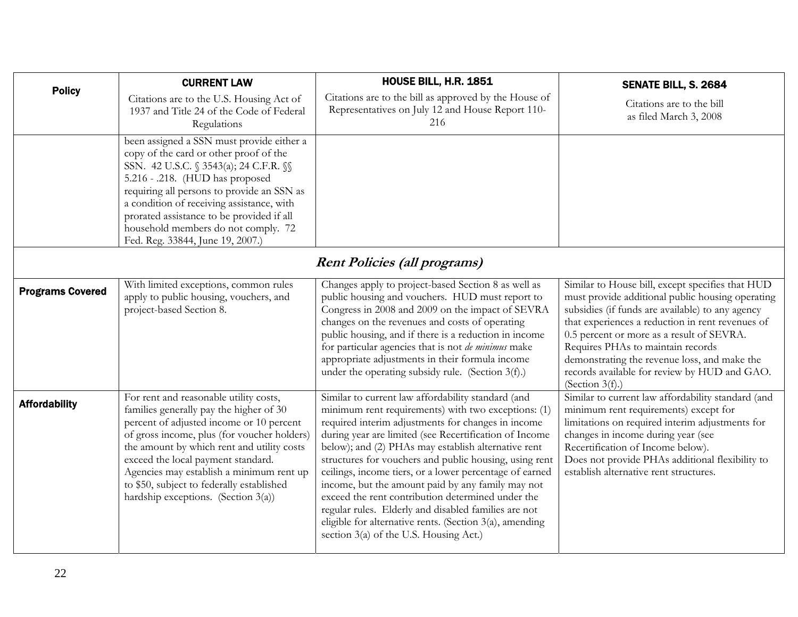<span id="page-21-0"></span>

| <b>Policy</b>           | <b>CURRENT LAW</b>                                                                                                                                                                                                                                                                                                                                                                                  | HOUSE BILL, H.R. 1851                                                                                                                                                                                                                                                                                                                                                                                                                                                                                                                                                                                                                                                        | SENATE BILL, S. 2684                                                                                                                                                                                                                                                                                                                                                                                                 |
|-------------------------|-----------------------------------------------------------------------------------------------------------------------------------------------------------------------------------------------------------------------------------------------------------------------------------------------------------------------------------------------------------------------------------------------------|------------------------------------------------------------------------------------------------------------------------------------------------------------------------------------------------------------------------------------------------------------------------------------------------------------------------------------------------------------------------------------------------------------------------------------------------------------------------------------------------------------------------------------------------------------------------------------------------------------------------------------------------------------------------------|----------------------------------------------------------------------------------------------------------------------------------------------------------------------------------------------------------------------------------------------------------------------------------------------------------------------------------------------------------------------------------------------------------------------|
|                         | Citations are to the U.S. Housing Act of<br>1937 and Title 24 of the Code of Federal<br>Regulations                                                                                                                                                                                                                                                                                                 | Citations are to the bill as approved by the House of<br>Representatives on July 12 and House Report 110-<br>216                                                                                                                                                                                                                                                                                                                                                                                                                                                                                                                                                             | Citations are to the bill<br>as filed March 3, 2008                                                                                                                                                                                                                                                                                                                                                                  |
|                         | been assigned a SSN must provide either a<br>copy of the card or other proof of the<br>SSN. 42 U.S.C. § 3543(a); 24 C.F.R. §§<br>5.216 - .218. (HUD has proposed<br>requiring all persons to provide an SSN as<br>a condition of receiving assistance, with<br>prorated assistance to be provided if all<br>household members do not comply. 72<br>Fed. Reg. 33844, June 19, 2007.)                 |                                                                                                                                                                                                                                                                                                                                                                                                                                                                                                                                                                                                                                                                              |                                                                                                                                                                                                                                                                                                                                                                                                                      |
|                         |                                                                                                                                                                                                                                                                                                                                                                                                     | <b>Rent Policies (all programs)</b>                                                                                                                                                                                                                                                                                                                                                                                                                                                                                                                                                                                                                                          |                                                                                                                                                                                                                                                                                                                                                                                                                      |
| <b>Programs Covered</b> | With limited exceptions, common rules<br>apply to public housing, vouchers, and<br>project-based Section 8.                                                                                                                                                                                                                                                                                         | Changes apply to project-based Section 8 as well as<br>public housing and vouchers. HUD must report to<br>Congress in 2008 and 2009 on the impact of SEVRA<br>changes on the revenues and costs of operating<br>public housing, and if there is a reduction in income<br>for particular agencies that is not de minimus make<br>appropriate adjustments in their formula income<br>under the operating subsidy rule. (Section 3(f).)                                                                                                                                                                                                                                         | Similar to House bill, except specifies that HUD<br>must provide additional public housing operating<br>subsidies (if funds are available) to any agency<br>that experiences a reduction in rent revenues of<br>0.5 percent or more as a result of SEVRA.<br>Requires PHAs to maintain records<br>demonstrating the revenue loss, and make the<br>records available for review by HUD and GAO.<br>(Section $3(f)$ .) |
| <b>Affordability</b>    | For rent and reasonable utility costs,<br>families generally pay the higher of 30<br>percent of adjusted income or 10 percent<br>of gross income, plus (for voucher holders)<br>the amount by which rent and utility costs<br>exceed the local payment standard.<br>Agencies may establish a minimum rent up<br>to \$50, subject to federally established<br>hardship exceptions. (Section $3(a)$ ) | Similar to current law affordability standard (and<br>minimum rent requirements) with two exceptions: (1)<br>required interim adjustments for changes in income<br>during year are limited (see Recertification of Income<br>below); and (2) PHAs may establish alternative rent<br>structures for vouchers and public housing, using rent<br>ceilings, income tiers, or a lower percentage of earned<br>income, but the amount paid by any family may not<br>exceed the rent contribution determined under the<br>regular rules. Elderly and disabled families are not<br>eligible for alternative rents. (Section 3(a), amending<br>section 3(a) of the U.S. Housing Act.) | Similar to current law affordability standard (and<br>minimum rent requirements) except for<br>limitations on required interim adjustments for<br>changes in income during year (see<br>Recertification of Income below).<br>Does not provide PHAs additional flexibility to<br>establish alternative rent structures.                                                                                               |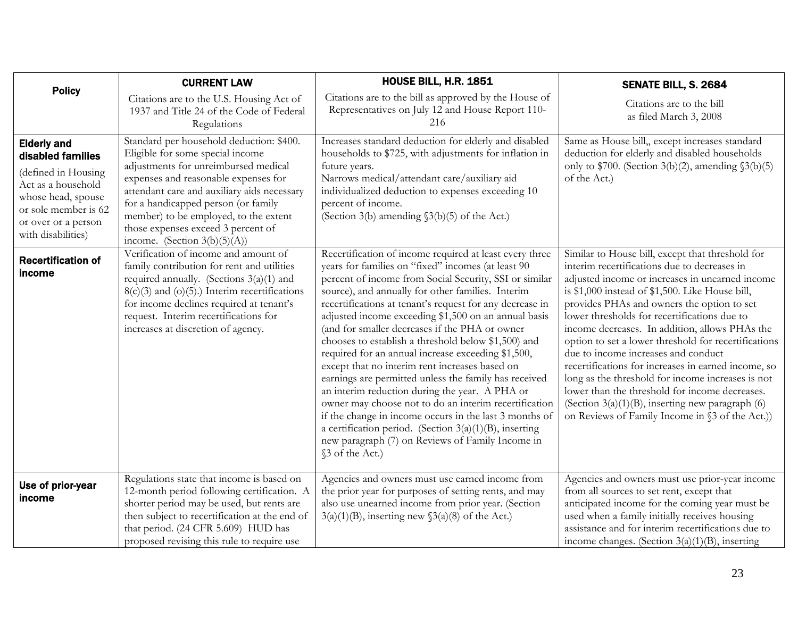<span id="page-22-0"></span>

| <b>Policy</b>                                                                                                                                                                   | <b>CURRENT LAW</b>                                                                                                                                                                                                                                                                                                                                                   | HOUSE BILL, H.R. 1851                                                                                                                                                                                                                                                                                                                                                                                                                                                                                                                                                                                                                                                                                                                                                                                                                                                                                                               | SENATE BILL, S. 2684                                                                                                                                                                                                                                                                                                                                                                                                                                                                                                                                                                                                                                                                                                         |
|---------------------------------------------------------------------------------------------------------------------------------------------------------------------------------|----------------------------------------------------------------------------------------------------------------------------------------------------------------------------------------------------------------------------------------------------------------------------------------------------------------------------------------------------------------------|-------------------------------------------------------------------------------------------------------------------------------------------------------------------------------------------------------------------------------------------------------------------------------------------------------------------------------------------------------------------------------------------------------------------------------------------------------------------------------------------------------------------------------------------------------------------------------------------------------------------------------------------------------------------------------------------------------------------------------------------------------------------------------------------------------------------------------------------------------------------------------------------------------------------------------------|------------------------------------------------------------------------------------------------------------------------------------------------------------------------------------------------------------------------------------------------------------------------------------------------------------------------------------------------------------------------------------------------------------------------------------------------------------------------------------------------------------------------------------------------------------------------------------------------------------------------------------------------------------------------------------------------------------------------------|
|                                                                                                                                                                                 | Citations are to the U.S. Housing Act of<br>1937 and Title 24 of the Code of Federal<br>Regulations                                                                                                                                                                                                                                                                  | Citations are to the bill as approved by the House of<br>Representatives on July 12 and House Report 110-<br>216                                                                                                                                                                                                                                                                                                                                                                                                                                                                                                                                                                                                                                                                                                                                                                                                                    | Citations are to the bill<br>as filed March 3, 2008                                                                                                                                                                                                                                                                                                                                                                                                                                                                                                                                                                                                                                                                          |
| <b>Elderly and</b><br>disabled families<br>(defined in Housing<br>Act as a household<br>whose head, spouse<br>or sole member is 62<br>or over or a person<br>with disabilities) | Standard per household deduction: \$400.<br>Eligible for some special income<br>adjustments for unreimbursed medical<br>expenses and reasonable expenses for<br>attendant care and auxiliary aids necessary<br>for a handicapped person (or family<br>member) to be employed, to the extent<br>those expenses exceed 3 percent of<br>income. (Section $3(b)(5)(A)$ ) | Increases standard deduction for elderly and disabled<br>households to \$725, with adjustments for inflation in<br>future years.<br>Narrows medical/attendant care/auxiliary aid<br>individualized deduction to expenses exceeding 10<br>percent of income.<br>(Section 3(b) amending §3(b)(5) of the Act.)                                                                                                                                                                                                                                                                                                                                                                                                                                                                                                                                                                                                                         | Same as House bill, except increases standard<br>deduction for elderly and disabled households<br>only to $$700.$ (Section 3(b)(2), amending $$3(b)(5)$<br>of the Act.)                                                                                                                                                                                                                                                                                                                                                                                                                                                                                                                                                      |
| <b>Recertification of</b><br>income                                                                                                                                             | Verification of income and amount of<br>family contribution for rent and utilities<br>required annually. (Sections $3(a)(1)$ and<br>$8(c)(3)$ and (o)(5).) Interim recertifications<br>for income declines required at tenant's<br>request. Interim recertifications for<br>increases at discretion of agency.                                                       | Recertification of income required at least every three<br>years for families on "fixed" incomes (at least 90<br>percent of income from Social Security, SSI or similar<br>source), and annually for other families. Interim<br>recertifications at tenant's request for any decrease in<br>adjusted income exceeding \$1,500 on an annual basis<br>(and for smaller decreases if the PHA or owner<br>chooses to establish a threshold below \$1,500) and<br>required for an annual increase exceeding \$1,500,<br>except that no interim rent increases based on<br>earnings are permitted unless the family has received<br>an interim reduction during the year. A PHA or<br>owner may choose not to do an interim recertification<br>if the change in income occurs in the last 3 months of<br>a certification period. (Section $3(a)(1)(B)$ , inserting<br>new paragraph (7) on Reviews of Family Income in<br>§3 of the Act.) | Similar to House bill, except that threshold for<br>interim recertifications due to decreases in<br>adjusted income or increases in unearned income<br>is \$1,000 instead of \$1,500. Like House bill,<br>provides PHAs and owners the option to set<br>lower thresholds for recertifications due to<br>income decreases. In addition, allows PHAs the<br>option to set a lower threshold for recertifications<br>due to income increases and conduct<br>recertifications for increases in earned income, so<br>long as the threshold for income increases is not<br>lower than the threshold for income decreases.<br>(Section $3(a)(1)(B)$ , inserting new paragraph (6)<br>on Reviews of Family Income in §3 of the Act.) |
| Use of prior-year<br>income                                                                                                                                                     | Regulations state that income is based on<br>12-month period following certification. A<br>shorter period may be used, but rents are<br>then subject to recertification at the end of<br>that period. (24 CFR 5.609) HUD has<br>proposed revising this rule to require use                                                                                           | Agencies and owners must use earned income from<br>the prior year for purposes of setting rents, and may<br>also use unearned income from prior year. (Section<br>$3(a)(1)(B)$ , inserting new $(3(a)(8))$ of the Act.)                                                                                                                                                                                                                                                                                                                                                                                                                                                                                                                                                                                                                                                                                                             | Agencies and owners must use prior-year income<br>from all sources to set rent, except that<br>anticipated income for the coming year must be<br>used when a family initially receives housing<br>assistance and for interim recertifications due to<br>income changes. (Section $3(a)(1)(B)$ , inserting                                                                                                                                                                                                                                                                                                                                                                                                                    |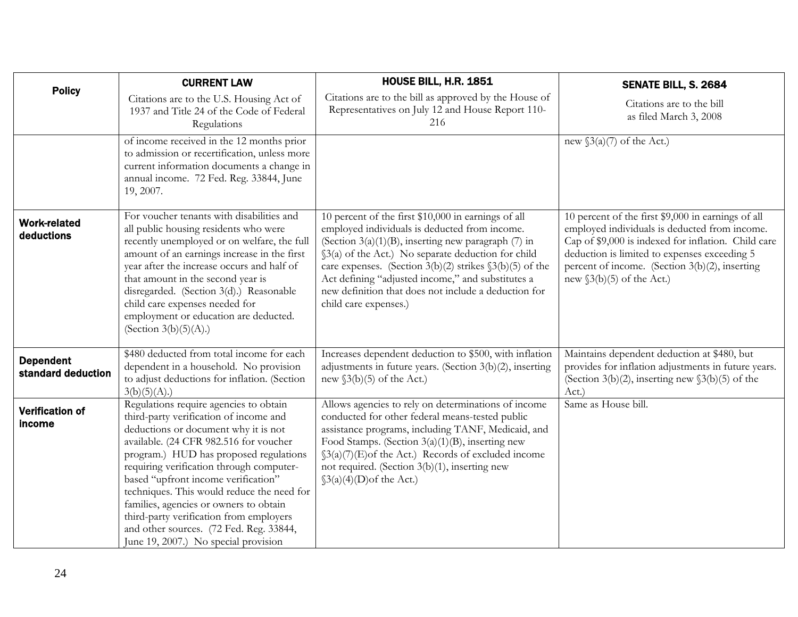<span id="page-23-0"></span>

|                                        | <b>CURRENT LAW</b>                                                                                                                                                                                                                                                                                                                                                                                                                                                                                                    | <b>HOUSE BILL, H.R. 1851</b>                                                                                                                                                                                                                                                                                                                                                                                          | SENATE BILL, S. 2684                                                                                                                                                                                                                                                                         |
|----------------------------------------|-----------------------------------------------------------------------------------------------------------------------------------------------------------------------------------------------------------------------------------------------------------------------------------------------------------------------------------------------------------------------------------------------------------------------------------------------------------------------------------------------------------------------|-----------------------------------------------------------------------------------------------------------------------------------------------------------------------------------------------------------------------------------------------------------------------------------------------------------------------------------------------------------------------------------------------------------------------|----------------------------------------------------------------------------------------------------------------------------------------------------------------------------------------------------------------------------------------------------------------------------------------------|
| <b>Policy</b>                          | Citations are to the U.S. Housing Act of<br>1937 and Title 24 of the Code of Federal<br>Regulations                                                                                                                                                                                                                                                                                                                                                                                                                   | Citations are to the bill as approved by the House of<br>Representatives on July 12 and House Report 110-<br>216                                                                                                                                                                                                                                                                                                      | Citations are to the bill<br>as filed March 3, 2008                                                                                                                                                                                                                                          |
|                                        | of income received in the 12 months prior<br>to admission or recertification, unless more<br>current information documents a change in<br>annual income. 72 Fed. Reg. 33844, June<br>19, 2007.                                                                                                                                                                                                                                                                                                                        |                                                                                                                                                                                                                                                                                                                                                                                                                       | new $\S3(a)(7)$ of the Act.)                                                                                                                                                                                                                                                                 |
| <b>Work-related</b><br>deductions      | For voucher tenants with disabilities and<br>all public housing residents who were<br>recently unemployed or on welfare, the full<br>amount of an earnings increase in the first<br>year after the increase occurs and half of<br>that amount in the second year is<br>disregarded. (Section 3(d).) Reasonable<br>child care expenses needed for<br>employment or education are deducted.<br>(Section $3(b)(5)(A)$ .)                                                                                                 | 10 percent of the first \$10,000 in earnings of all<br>employed individuals is deducted from income.<br>(Section 3(a)(1)(B), inserting new paragraph (7) in<br>§3(a) of the Act.) No separate deduction for child<br>care expenses. (Section 3(b)(2) strikes $\S3(b)(5)$ of the<br>Act defining "adjusted income," and substitutes a<br>new definition that does not include a deduction for<br>child care expenses.) | 10 percent of the first \$9,000 in earnings of all<br>employed individuals is deducted from income.<br>Cap of \$9,000 is indexed for inflation. Child care<br>deduction is limited to expenses exceeding 5<br>percent of income. (Section 3(b)(2), inserting<br>new $\S3(b)(5)$ of the Act.) |
| <b>Dependent</b><br>standard deduction | \$480 deducted from total income for each<br>dependent in a household. No provision<br>to adjust deductions for inflation. (Section<br>3(b)(5)(A).                                                                                                                                                                                                                                                                                                                                                                    | Increases dependent deduction to \$500, with inflation<br>adjustments in future years. (Section 3(b)(2), inserting<br>new $(3(b)(5)$ of the Act.)                                                                                                                                                                                                                                                                     | Maintains dependent deduction at \$480, but<br>provides for inflation adjustments in future years.<br>(Section 3(b)(2), inserting new $\S3(b)(5)$ of the<br>Act.)                                                                                                                            |
| <b>Verification of</b><br>income       | Regulations require agencies to obtain<br>third-party verification of income and<br>deductions or document why it is not<br>available. (24 CFR 982.516 for voucher<br>program.) HUD has proposed regulations<br>requiring verification through computer-<br>based "upfront income verification"<br>techniques. This would reduce the need for<br>families, agencies or owners to obtain<br>third-party verification from employers<br>and other sources. (72 Fed. Reg. 33844,<br>June 19, 2007.) No special provision | Allows agencies to rely on determinations of income<br>conducted for other federal means-tested public<br>assistance programs, including TANF, Medicaid, and<br>Food Stamps. (Section $3(a)(1)(B)$ , inserting new<br>$\S3(a)(7)$ (E) of the Act.) Records of excluded income<br>not required. (Section 3(b)(1), inserting new<br>$\S3(a)(4)(D)$ of the Act.)                                                         | Same as House bill.                                                                                                                                                                                                                                                                          |